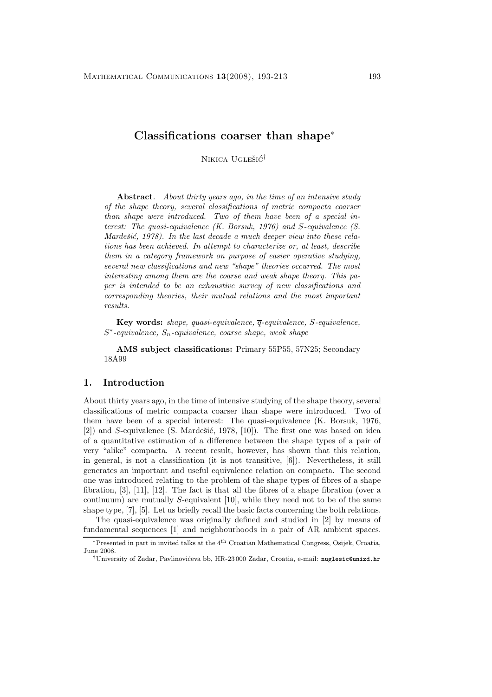# **Classifications coarser than shape**<sup>∗</sup>

NIKICA UGLEŠIĆ<sup>†</sup>

**Abstract***. About thirty years ago, in the time of an intensive study of the shape theory, several classifications of metric compacta coarser than shape were introduced. Two of them have been of a special interest: The quasi-equivalence (K. Borsuk, 1976) and* S*-equivalence (S. Mardešić, 1978). In the last decade a much deeper view into these relations has been achieved. In attempt to characterize or, at least, describe them in a category framework on purpose of easier operative studying, several new classifications and new "shape" theories occurred. The most interesting among them are the coarse and weak shape theory. This paper is intended to be an exhaustive survey of new classifications and corresponding theories, their mutual relations and the most important results.*

**Key words:** *shape, quasi-equivalence,* q*-equivalence,* S*-equivalence,* <sup>S</sup>∗*-equivalence,* <sup>S</sup>n*-equivalence, coarse shape, weak shape*

**AMS subject classifications:** Primary 55P55, 57N25; Secondary 18A99

## **1. Introduction**

About thirty years ago, in the time of intensive studying of the shape theory, several classifications of metric compacta coarser than shape were introduced. Two of them have been of a special interest: The quasi-equivalence (K. Borsuk, 1976,  $[2]$ ) and S-equivalence (S. Mardešić, 1978,  $[10]$ ). The first one was based on idea of a quantitative estimation of a difference between the shape types of a pair of very "alike" compacta. A recent result, however, has shown that this relation, in general, is not a classification (it is not transitive, [6]). Nevertheless, it still generates an important and useful equivalence relation on compacta. The second one was introduced relating to the problem of the shape types of fibres of a shape fibration, [3], [11], [12]. The fact is that all the fibres of a shape fibration (over a continuum) are mutually S-equivalent [10], while they need not to be of the same shape type, [7], [5]. Let us briefly recall the basic facts concerning the both relations.

The quasi-equivalence was originally defined and studied in [2] by means of fundamental sequences [1] and neighbourhoods in a pair of AR ambient spaces.

<sup>∗</sup>Presented in part in invited talks at the 4th Croatian Mathematical Congress, Osijek, Croatia, June 2008.

<sup>†</sup>University of Zadar, Pavlinovi´ceva bb, HR-23 000 Zadar, Croatia, e-mail: nuglesic@unizd.hr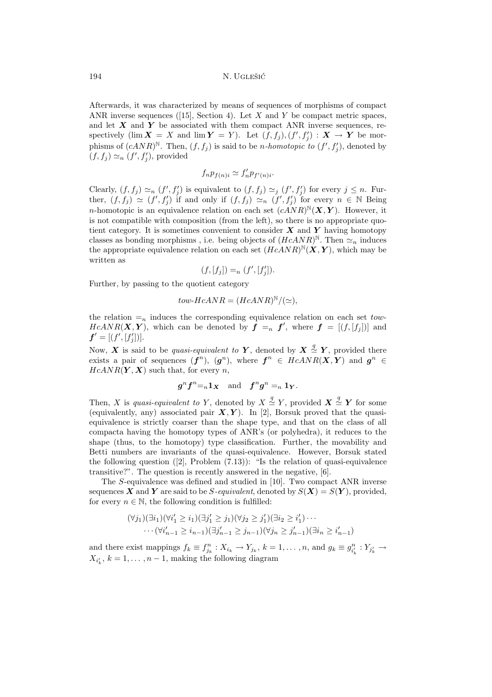Afterwards, it was characterized by means of sequences of morphisms of compact ANR inverse sequences ([15], Section 4). Let X and Y be compact metric spaces, and let *X* and *Y* be associated with them compact ANR inverse sequences, respectively  $(\lim \mathbf{X} = X \text{ and } \lim \mathbf{Y} = Y)$ . Let  $(f, f_j), (f', f'_j) : \mathbf{X} \to Y$  be mor-<br>phisms of  $(a \Lambda y B)^N$ . Then  $(f, f)$  is said to be a hemotopie to  $(f', f')$  denoted by phisms of  $(cANR)^N$ . Then,  $(f, f_j)$  is said to be *n-homotopic to*  $(f', f'_j)$ , denoted by  $(f, f_1) \sim (f', f'_1)$  provided  $(f, f_j) \simeq_n (f', f'_j)$ , provided

$$
f_n p_{f(n)i} \simeq f'_n p_{f'(n)i}.
$$

Clearly,  $(f, f_j) \simeq_n (f', f'_j)$  is equivalent to  $(f, f_j) \simeq_j (f', f'_j)$  for every  $j \leq n$ . Fur-<br>then  $(f, f) \simeq (f', f')$  if and only if  $(f, f) \simeq (f', f')$  for every  $n \in \mathbb{N}$  Being ther,  $(f, f_j) \simeq (f', f'_j)$  if and only if  $(f, f_j) \simeq_n (f', f'_j)$  for every  $n \in \mathbb{N}$  Being<br>in homotonic is an equivalence valid was seek at  $(A \ N D)^{\mathbb{N}}(\mathbf{Y}, \mathbf{Y})$ . However, it *n*-homotopic is an equivalence relation on each set  $(cANR)^{N}(\boldsymbol{X}, \boldsymbol{Y})$ . However, it is not compatible with composition (from the left), so there is no appropriate quotient category. It is sometimes convenient to consider *X* and *Y* having homotopy classes as bonding morphisms, i.e. being objects of  $(HcANR)^N$ . Then  $\simeq_n$  induces the appropriate equivalence relation on each set  $(HcANR)^{\mathbb{N}}(\mathbf{X}, \mathbf{Y})$ , which may be written as

$$
(f,[f_j]) =_n (f',[f'_j]).
$$

Further, by passing to the quotient category

$$
tow\text{-}HcANR = (HcANR)^{\mathbb{N}}/(\simeq),
$$

the relation  $=_n$  induces the corresponding equivalence relation on each set tow- $HcANR(X, Y)$ , which can be denoted by  $f = f'$ , where  $f = [(f, [f_j])]$  and  $f' = [(f', [f'])]$  $f' = [(f', [f'_j])].$ 

Now,  $\boldsymbol{X}$  is said to be *quasi-equivalent to*  $\boldsymbol{Y}$ , denoted by  $\boldsymbol{X} \stackrel{\text{d}}{\sim} \boldsymbol{Y}$ , provided there exists a pair of sequences  $(\boldsymbol{f}^n)$   $(\boldsymbol{a}^n)$  where  $\boldsymbol{f}^n \in H_cANR(\boldsymbol{X}|\boldsymbol{Y})$  and  $\boldsymbol{a}^n \in$ exists a pair of sequences  $(f^n)$ ,  $(g^n)$ , where  $f^n \in HcANR(X,Y)$  and  $g^n \in$  $HcANR(Y, X)$  such that, for every n,

$$
g^n f^n =_n \mathbf{1}_{\mathbf{X}} \quad \text{and} \quad f^n g^n =_n \mathbf{1}_{\mathbf{Y}}.
$$

Then, X is *quasi-equivalent to* Y, denoted by  $X \stackrel{\sim}{\simeq} Y$ , provided  $X \stackrel{\sim}{\simeq} Y$  for some (equivalently any) associated pair  $X$  V). In [2] Borsuk proved that the quasi-(equivalently, any) associated pair  $X, Y$ ). In [2], Borsuk proved that the quasiequivalence is strictly coarser than the shape type, and that on the class of all compacta having the homotopy types of ANR's (or polyhedra), it reduces to the shape (thus, to the homotopy) type classification. Further, the movability and Betti numbers are invariants of the quasi-equivalence. However, Borsuk stated the following question  $([2], \text{Problem } (7.13))$ : "Is the relation of quasi-equivalence transitive?". The question is recently answered in the negative, [6].

The S-equivalence was defined and studied in [10]. Two compact ANR inverse sequences *X* and *Y* are said to be *S-equivalent*, denoted by  $S(X) = S(Y)$ , provided, for every  $n \in \mathbb{N}$ , the following condition is fulfilled:

$$
(\forall j_1)(\exists i_1)(\forall i'_1 \geq i_1)(\exists j'_1 \geq j_1)(\forall j_2 \geq j'_1)(\exists i_2 \geq i'_1) \cdots
$$
  
 
$$
\cdots (\forall i'_{n-1} \geq i_{n-1})(\exists j'_{n-1} \geq j_{n-1})(\forall j_n \geq j'_{n-1})(\exists i_n \geq i'_{n-1})
$$

and there exist mappings  $f_k \equiv f_{jk}^n : X_{i_k} \to Y_{j_k}$ ,  $k = 1, \ldots, n$ , and  $g_k \equiv g_{i'_k}^n : Y_{j'_k} \to Y_{i_k} \to 1$ , where the following diagram  $X_{i'_{k}}$ ,  $k = 1, \ldots, n - 1$ , making the following diagram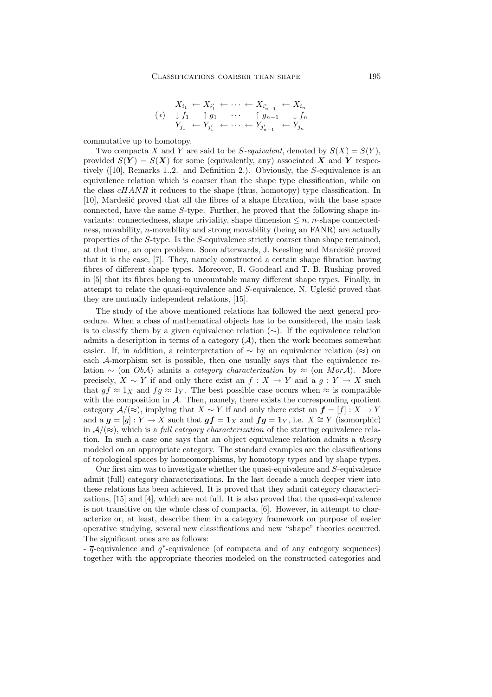$$
(*)\n\begin{array}{ccc}\nX_{i_1} \leftarrow X_{i'_1} \leftarrow \cdots \leftarrow X_{i'_{n-1}} \leftarrow X_{i_n} \\
(*)\n\begin{array}{ccc}\n\downarrow f_1 & \uparrow g_1 & \cdots & \uparrow g_{n-1} & \downarrow f_n \\
Y_{j_1} \leftarrow Y_{j'_1} \leftarrow \cdots \leftarrow Y_{j'_{n-1}} \leftarrow Y_{j_n}\n\end{array}\n\end{array}
$$

commutative up to homotopy.

Two compacta X and Y are said to be S-equivalent, denoted by  $S(X) = S(Y)$ , provided  $S(Y) = S(X)$  for some (equivalently, any) associated X and Y respectively ([10], Remarks 1.,2. and Definition 2.). Obviously, the S-equivalence is an equivalence relation which is coarser than the shape type classification, while on the class  $cHANR$  it reduces to the shape (thus, homotopy) type classification. In [10], Mardešić proved that all the fibres of a shape fibration, with the base space connected, have the same S-type. Further, he proved that the following shape invariants: connectedness, shape triviality, shape dimension  $\leq n$ , n-shape connectedness, movability, n-movability and strong movability (being an FANR) are actually properties of the S-type. Is the S-equivalence strictly coarser than shape remained, at that time, an open problem. Soon afterwards, J. Keesling and Mardešić proved that it is the case, [7]. They, namely constructed a certain shape fibration having fibres of different shape types. Moreover, R. Goodearl and T. B. Rushing proved in [5] that its fibres belong to uncountable many different shape types. Finally, in attempt to relate the quasi-equivalence and  $S$ -equivalence, N. Uglesić proved that they are mutually independent relations, [15].

The study of the above mentioned relations has followed the next general procedure. When a class of mathematical objects has to be considered, the main task is to classify them by a given equivalence relation  $(\sim)$ . If the equivalence relation admits a description in terms of a category  $(A)$ , then the work becomes somewhat easier. If, in addition, a reinterpretation of  $\sim$  by an equivalence relation (≈) on each A-morphism set is possible, then one usually says that the equivalence relation ∼ (on ObA) admits a *category characterization* by ≈ (on MorA). More precisely,  $X \sim Y$  if and only there exist an  $f : X \to Y$  and a  $g : Y \to X$  such that  $gf \approx 1_X$  and  $fg \approx 1_Y$ . The best possible case occurs when  $\approx$  is compatible with the composition in  $A$ . Then, namely, there exists the corresponding quotient category  $\mathcal{A}/(\approx)$ , implying that  $X \sim Y$  if and only there exist an  $f = [f] : X \to Y$ and a  $g = [g] : Y \to X$  such that  $gf = 1_X$  and  $fg = 1_Y$ , i.e.  $X \cong Y$  (isomorphic) in  $A/(\approx)$ , which is a *full category characterization* of the starting equivalence relation. In such a case one says that an object equivalence relation admits a *theory* modeled on an appropriate category. The standard examples are the classifications of topological spaces by homeomorphisms, by homotopy types and by shape types.

Our first aim was to investigate whether the quasi-equivalence and S-equivalence admit (full) category characterizations. In the last decade a much deeper view into these relations has been achieved. It is proved that they admit category characterizations, [15] and [4], which are not full. It is also proved that the quasi-equivalence is not transitive on the whole class of compacta, [6]. However, in attempt to characterize or, at least, describe them in a category framework on purpose of easier operative studying, several new classifications and new "shape" theories occurred. The significant ones are as follows:

 $\frac{1}{q}$ -equivalence and  $q^*$ -equivalence (of compacta and of any category sequences) together with the appropriate theories modeled on the constructed categories and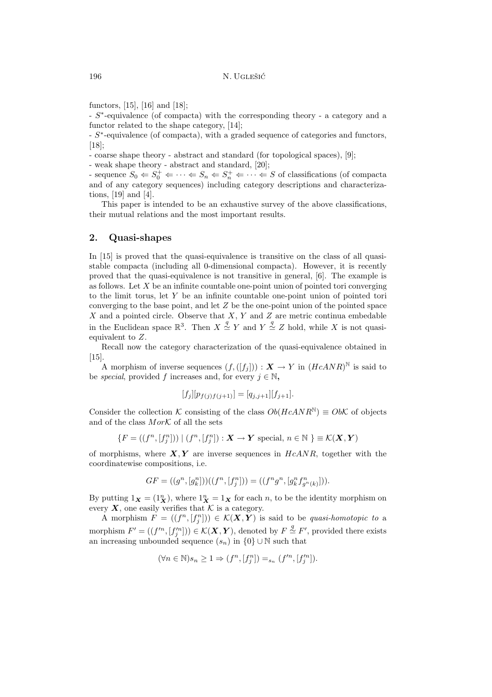functors, [15], [16] and [18];

- S∗-equivalence (of compacta) with the corresponding theory - a category and a functor related to the shape category, [14];

- S∗-equivalence (of compacta), with a graded sequence of categories and functors, [18];

- coarse shape theory - abstract and standard (for topological spaces), [9];

- weak shape theory - abstract and standard, [20];

- sequence  $S_0 \leftarrow S_0^+ \leftarrow \cdots \leftarrow S_n \leftarrow S_n^+ \leftarrow \cdots \leftarrow S$  of classifications (of compacta and of any category sequences) including category descriptions and characterizations, [19] and [4].

This paper is intended to be an exhaustive survey of the above classifications, their mutual relations and the most important results.

#### **2. Quasi-shapes**

In [15] is proved that the quasi-equivalence is transitive on the class of all quasistable compacta (including all 0-dimensional compacta). However, it is recently proved that the quasi-equivalence is not transitive in general, [6]. The example is as follows. Let  $X$  be an infinite countable one-point union of pointed tori converging to the limit torus, let Y be an infinite countable one-point union of pointed tori converging to the base point, and let  $Z$  be the one-point union of the pointed space X and a pointed circle. Observe that  $X, Y$  and Z are metric continua embedable in the Euclidean space  $\mathbb{R}^3$ . Then  $X \stackrel{q}{\simeq} Y$  and  $Y \stackrel{q}{\simeq} Z$  hold, while X is not quasiequivalent to Z.

Recall now the category characterization of the quasi-equivalence obtained in [15].

A morphism of inverse sequences  $(f,([f_i])) : \mathbf{X} \to Y$  in  $(HcANR)^N$  is said to be *special*, provided f increases and, for every  $i \in \mathbb{N}$ ,

$$
[f_j][p_{f(j)f(j+1)}] = [q_{j,j+1}][f_{j+1}].
$$

Consider the collection K consisting of the class  $Ob(HcANR^N) \equiv ObK$  of objects and of the class  $Mor\mathcal{K}$  of all the sets

$$
\{F = ((f^n, [f_j^n])) \mid (f^n, [f_j^n]) : \mathbf{X} \to \mathbf{Y} \text{ special, } n \in \mathbb{N} \} \equiv \mathcal{K}(\mathbf{X}, \mathbf{Y})
$$

of morphisms, where  $X, Y$  are inverse sequences in  $HeANR$ , together with the coordinatewise compositions, i.e.

$$
GF = ((g^n, [g_k^n]))((f^n, [f_j^n])) = ((f^n g^n, [g_k^n f_{g^n(k)}^n]))
$$

By putting  $1_X = (1_X^n)$ , where  $1_X^n = 1_X$  for each n, to be the identity morphism on every  $X$ , one easily verifies that  $K$  is a category.

A morphism  $F = ((f^n, [f^n]) \in \mathcal{K}(X, Y)$  is said to be *quasi-homotopic to* a morphism  $F' = ((f'^n, [f'^n]) ) \in \mathcal{K}(\mathbf{X}, \mathbf{Y})$ , denoted by  $F \stackrel{\times}{\sim} F'$ , provided there exists<br>an increasing unbounded sequence  $(s, \cdot)$  in  $f(0) \cup \mathbb{N}$  such that an increasing unbounded sequence  $(s_n)$  in  $\{0\} \cup \mathbb{N}$  such that

$$
(\forall n \in \mathbb{N})s_n \geq 1 \Rightarrow (f^n, [f_j^n]) =_{s_n} (f'^n, [f_j'^n]).
$$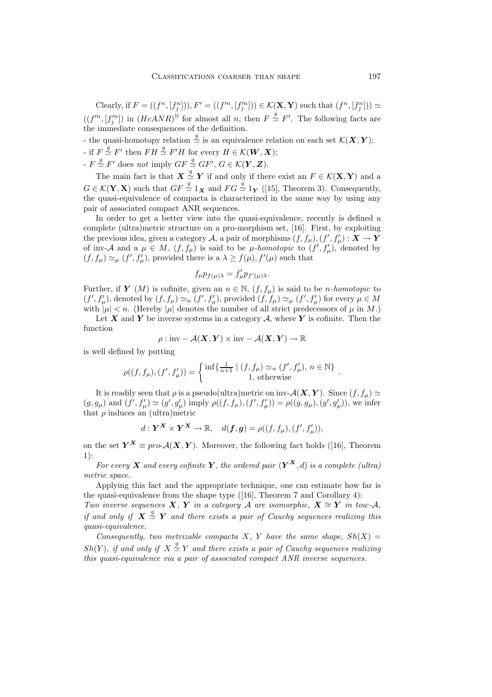Clearly, if  $F = ((f^n, [f_j^n]))$ ,  $F' = ((f'^n, [f_j'^n])) \in \mathcal{K}(\mathbf{X}, \mathbf{Y})$  such that  $(f^n, [f_j^n])) \simeq$  $((f'^n, [f'^n_j])$  in  $(HcANR)^N$  for almost all n, then  $F \stackrel{q}{\simeq} F'$ . The following facts are the immediate consequences of the definition the immediate consequences of the definition.

- the quasi-homotopy relation  $\stackrel{\sim}{\simeq}$  is an equivalence relation on each set  $\mathcal{K}(X, Y)$ ;  $\frac{\partial}{\partial f}$  if  $F \stackrel{\text{d}}{\sim} F'$  then  $FH \stackrel{\text{d}}{\sim} F'H$  for every  $H \in \mathcal{K}(\mathbf{W}, \mathbf{X});$ 

 $F \stackrel{\simeq}{\sim} F'$  does *not* imply  $GF \stackrel{\simeq}{\sim} GF', G \in \mathcal{K}(Y, Z)$ .

The main fact is that  $\mathbf{X} \stackrel{q}{\sim} \mathbf{Y}$  if and only if there exist an  $F \in \mathcal{K}(\mathbf{X}, \mathbf{Y})$  and a  $G \in \mathcal{K}(\mathbf{Y}, \mathbf{X})$  such that  $GF \stackrel{q}{\simeq} 1_{\mathbf{X}}$  and  $FG \stackrel{q}{\simeq} 1_{\mathbf{Y}}$  ([15], Theorem 3). Consequently, the quasi-equivalence of compacta is characterized in the same way by using any pair of associated compact ANR sequences.

In order to get a better view into the quasi-equivalence, recently is defined a complete (ultra)metric structure on a pro-morphism set, [16]. First, by exploiting the previous idea, given a category A, a pair of morphisms  $(f, f_\mu), (f', f'_\mu) : \mathbf{X} \to \mathbf{Y}$ <br>of inv<sub>a</sub> A and a  $\mu \in M$  (f f) is said to be *u*-homotonic to (f'f') denoted by of inv-A and a  $\mu \in M$ ,  $(f, f_\mu)$  is said to be  $\mu$ -homotopic to  $(f', f'_\mu)$ , denoted by  $(f, f) \approx (f', f')$  provided there is a  $\lambda \geq f(\mu)$   $f'(\mu)$  such that  $(f, f_\mu) \simeq_\mu (f', f'_\mu)$ , provided there is a  $\lambda \ge f(\mu), f'(\mu)$  such that

$$
f_{\mu}p_{f(\mu)\lambda}=f'_{\mu}p_{f'(\mu)\lambda}.
$$

Further, if *Y* (*M*) is cofinite, given an  $n \in \mathbb{N}$ ,  $(f, f_\mu)$  is said to be *n*-homotopic to  $(f', f'_{\mu})$ , denoted by  $(f, f_{\mu}) \simeq_n (f', f'_{\mu})$ , provided  $(f, f_{\mu}) \simeq_\mu (f', f'_{\mu})$  for every  $\mu \in M$ <br>with  $|\mu| \leq n$ . (Hereby  $|\mu|$  denotes the number of all strict prodecessors of  $\mu$  in M) with  $|\mu| < n$ . (Hereby  $|\mu|$  denotes the number of all strict predecessors of  $\mu$  in M.)

Let  $X$  and  $Y$  be inverse systems in a category  $A$ , where  $Y$  is cofinite. Then the function

$$
\rho: \text{inv} - \mathcal{A}(\boldsymbol{X}, \boldsymbol{Y}) \times \text{inv} - \mathcal{A}(\boldsymbol{X}, \boldsymbol{Y}) \to \mathbb{R}
$$

is well defined by putting

$$
\rho((f, f_{\mu}), (f', f'_{\mu})) = \begin{cases} \inf \{ \frac{1}{n+1} \mid (f, f_{\mu}) \simeq_n (f', f'_{\mu}), n \in \mathbb{N} \} \\ 1, \text{ otherwise} \end{cases}.
$$

It is readily seen that  $\rho$  is a pseudo(ultra)metric on inv- $\mathcal{A}(\boldsymbol{X}, \boldsymbol{Y})$ . Since  $(f, f_{\mu}) \simeq$  $(g, g_{\mu})$  and  $(f', f'_{\mu}) \simeq (g', g'_{\mu})$  imply  $\rho((f, f_{\mu}), (f', f'_{\mu})) = \rho((g, g_{\mu}), (g', g'_{\mu}))$ , we infer<br>that g induces an (ultra)motric that  $\rho$  induces an (ultra)metric

$$
d: \mathbf{Y}^{\mathbf{X}} \times \mathbf{Y}^{\mathbf{X}} \to \mathbb{R}, \quad d(\mathbf{f}, \mathbf{g}) = \rho((f, f_{\mu}), (f', f'_{\mu})),
$$

on the set  $Y^X \equiv pro\mathcal{A}(X,Y)$ . Moreover, the following fact holds ([16], Theorem 1):

*For every X* and every cofinite Y, the ordered pair  $(Y^X, d)$  is a complete (ultra) *metric space.*

Applying this fact and the appropriate technique, one can estimate how far is the quasi-equivalence from the shape type ([16], Theorem 7 and Corollary 4):

*Two inverse sequences*  $X, Y$  *in a category*  $A$  *are isomorphic,*  $X \cong Y$  *in tow-A*, *if and only if*  $X \stackrel{\sim}{\simeq} Y$  *and there exists a pair of Cauchy sequences realizing this*<br>*guasi-equivalence quasi-equivalence.*

*Consequently, two metrizable compacta* X, Y *have the same shape,*  $Sh(X)$  =  $Sh(Y)$ , if and only if  $X \stackrel{*}{\simeq} Y$  and there exists a pair of Cauchy sequences realizing *this quasi-equivalence via a pair of associated compact ANR inverse sequences.*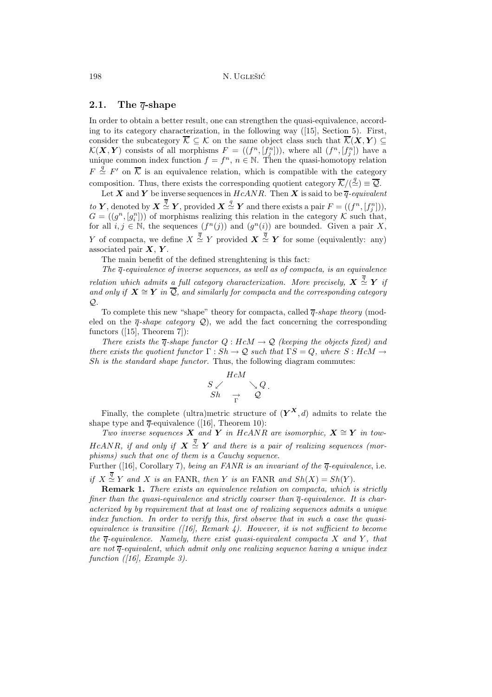### **2.1. The** *q***-shape**

In order to obtain a better result, one can strengthen the quasi-equivalence, according to its category characterization, in the following way ([15], Section 5). First, consider the subcategory  $\overline{\mathcal{K}}\subseteq\mathcal{K}$  on the same object class such that  $\overline{\mathcal{K}}(X,Y)\subseteq$  $\mathcal{K}(\mathbf{X}, \mathbf{Y})$  consists of all morphisms  $F = ((f^n, [f^n_1]))$ , where all  $(f^n, [f^n_1])$  have a unique common index function  $f = f^n$ ,  $n \in \mathbb{N}$ . Then the quasi-homotopy relation unique common index function  $f = f^n$ ,  $n \in \mathbb{N}$ . Then the quasi-homotopy relation  $F \stackrel{*}{\simeq} F'$  on K is an equivalence relation, which is compatible with the category composition. Thus, there exists the corresponding quotient category  $\mathcal{K}/(\simeq) \equiv \mathcal{Q}$ .

Let *X* and *Y* be inverse sequences in  $HcANR$ . Then *X* is said to be  $\overline{q}$ -equivalent *to Y*, denoted by  $X \stackrel{\simeq}{\sim} Y$ , provided  $X \stackrel{\simeq}{\sim} Y$  and there exists a pair  $F = ((f^n, [f^n_1]))$ ,<br> $G = ((a^n, [a^n]))$  of morphisms realizing this relation in the category *K* such that  $G = ((g^n, [g_i^n]))$  of morphisms realizing this relation in the category K such that,<br>for all  $i, i \in \mathbb{N}$ , the sequences  $(f^n(i))$  and  $(g^n(i))$  are bounded. Given a pair Y for all  $i, j \in \mathbb{N}$ , the sequences  $(f^n(j))$  and  $(g^n(i))$  are bounded. Given a pair X, *Y* of compacta, we define  $X \stackrel{\sim}{\simeq} Y$  provided  $X \stackrel{\sim}{\simeq} Y$  for some (equivalently: any) associated pair  $X \times Y$ associated pair *X*, *Y* .

The main benefit of the defined strenghtening is this fact:

*The*  $\overline{q}$ -equivalence of inverse sequences, as well as of compacta, is an equivalence *relation which admits a full category characterization. More precisely,*  $X \stackrel{\sim}{\simeq} Y$  *if* and only if  $X \cong Y$  in  $\overline{O}$  and similarly for compacts and the corresponding category *and only if*  $X \cong Y$  *in*  $\overline{Q}$ *, and similarly for compacta and the corresponding category* Q*.*

To complete this new "shape" theory for compacta, called  $\overline{q}$ -shape theory (modeled on the  $\overline{q}$ -*shape category*  $\mathcal{Q}$ , we add the fact concerning the corresponding functors ([15], Theorem 7]):

*There exists the*  $\overline{q}$ -shape functor  $Q : HcM \to Q$  *(keeping the objects fixed) and there exists the quotient functor*  $\Gamma : Sh \to \mathcal{Q}$  *such that*  $\Gamma S = Q$ *, where*  $S : HcM \to$ Sh *is the standard shape functor.* Thus, the following diagram commutes:



Finally, the complete (ultra)metric structure of  $(Y^X, d)$  admits to relate the shape type and  $\overline{q}$ -equivalence ([16], Theorem 10):

*Two inverse sequences*  $\boldsymbol{X}$  *and*  $\boldsymbol{Y}$  *in* HcANR are isomorphic,  $\boldsymbol{X} \cong \boldsymbol{Y}$  *in tow*- $HcANR$ , if and only if  $X \stackrel{\sim}{\sim} Y$  and there is a pair of realizing sequences (mor-<br>
phisms) such that one of them is a Cauchy sequence *phisms) such that one of them is a Cauchy sequence.*

Further ([16], Corollary 7), *being an FANR is an invariant of the* q*-equivalence*, i.e.

*if*  $X \stackrel{\ast}{\simeq} Y$  and X *is an* FANR, *then* Y *is an* FANR and  $Sh(X) = Sh(Y)$ .

**Remark 1.** *There exists an equivalence relation on compacta, which is strictly finer than the quasi-equivalence and strictly coarser than*  $\overline{q}$ -equivalence. It is char*acterized by by requirement that at least one of realizing sequences admits a unique index function. In order to verify this, first observe that in such a case the quasiequivalence is transitive ([16], Remark 4). However, it is not sufficient to become the*  $\overline{q}$ -equivalence. Namely, there exist quasi-equivalent compacta X and Y, that *are not* q*-equivalent, which admit only one realizing sequence having a unique index function ([16], Example 3).*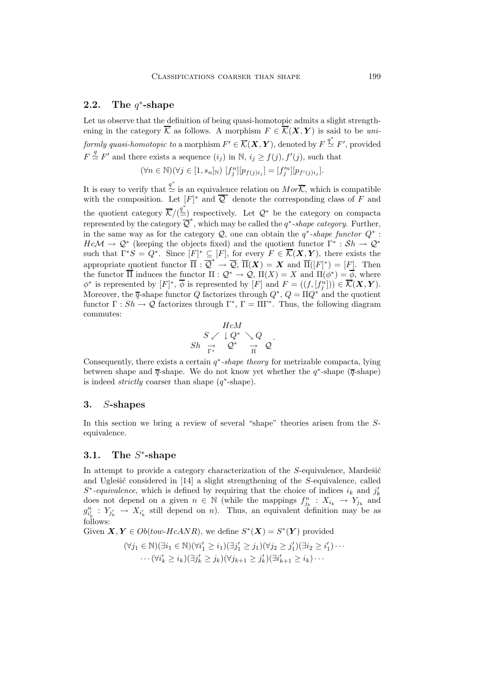# **2.2. The** *q*∗**-shape**

Let us observe that the definition of being quasi-homotopic admits a slight strengthening in the category  $\overline{K}$  as follows. A morphism  $F \in \overline{\mathcal{K}}(\mathbf{X}, \mathbf{Y})$  is said to be *uniformly quasi-homotopic to* a morphism  $F' \in \overline{\mathcal{K}}(\mathbf{X}, \mathbf{Y})$ , denoted by  $F \stackrel{q^*}{\simeq} F'$ , provided  $F \stackrel{q}{\sim} F'$  $F \stackrel{\text{x}}{\sim} F'$  and there exists a sequence  $(i_j)$  in N,  $i_j \ge f(j)$ ,  $f'(j)$ , such that

$$
(\forall n \in \mathbb{N})(\forall j \in [1, s_n]_{\mathbb{N}}) [f_j^n][p_{f(j)i_j}] = [f_j'^n][p_{f'(j)i_j}].
$$

It is easy to verify that  $\stackrel{q^*}{\simeq}$  is an equivalence relation on  $Mor\overline{\mathcal{K}}$ , which is compatible with the composition. Let  $[F]^*$  and  $\overline{Q}^*$  denote the corresponding class of F and the quotient category  $\overline{\mathcal{K}}/\left(\stackrel{q^*}{\simeq}\right)$  respectively. Let  $\mathcal{Q}^*$  be the category on compacta represented by the category  $\overline{Q}^*$ , which may be called the  $q^*$ -shape category. Further, in the same way as for the category  $Q$ , one can obtain the  $q^*$ -shape functor  $Q^*$ :  $Hc\mathcal{M} \to \mathcal{Q}^*$  (keeping the objects fixed) and the quotient functor  $\Gamma^* : Sh \to \mathcal{Q}^*$ such that  $\Gamma^*S = Q^*$ . Since  $[F]^* \subseteq [F]$ , for every  $F \in \mathcal{K}(\mathbf{X}, \mathbf{Y})$ , there exists the appropriate quotient functor  $\overline{\Pi}$  :  $\overline{\mathcal{Q}}^* \to \overline{\mathcal{Q}}$ ,  $\overline{\Pi}(\bm{X}) = \bm{X}$  and  $\overline{\Pi}([F]^*) = [F]$ . Then<br>the functor  $\overline{\Pi}$  induces the functor  $\Pi : \mathcal{O}^* \to \mathcal{O}$ ,  $\Pi(\bm{X}) = \bm{X}$  and  $\Pi(\phi^*) = \phi$  where the functor  $\Pi$  induces the functor  $\Pi: \mathcal{Q}^* \to \mathcal{Q}, \Pi(X) = X$  and  $\Pi(\phi^*) = \phi$ , where  $\phi^*$  is represented by  $[F]^*, \phi$  is represented by  $[F]$  and  $F = ((f, [f^n]) \in \mathcal{K}(\mathbf{X}, \mathbf{Y}).$ <br>Moreover, the  $\overline{\sigma}$ -shape functor  $\overline{O}$  fectorizes through  $O^*$ ,  $\overline{O} = \overline{NO^*}$  and the quotient Moreover, the  $\overline{q}$ -shape functor Q factorizes through  $Q^*$ ,  $Q = \Pi Q^*$  and the quotient functor  $\Gamma: Sh \to \mathcal{Q}$  factorizes through  $\Gamma^*$ ,  $\Gamma = \Pi \Gamma^*$ . Thus, the following diagram commutes:

$$
\begin{array}{ccc}\n & HcM \\
 S \swarrow \downarrow Q^* & \searrow Q \\
 \text{Sh} & \rightarrow & Q^* & \rightarrow Q \\
 \frac{\Gamma^*}{\Gamma^*} & Q^* & \frac{\Gamma}{\Pi} & Q\n \end{array}.
$$

Consequently, there exists a certain q∗*-shape theory* for metrizable compacta, lying between shape and  $\overline{q}$ -shape. We do not know yet whether the  $q^*$ -shape ( $\overline{q}$ -shape) is indeed *strictly* coarser than shape (q∗-shape).

#### **3.** *S***-shapes**

In this section we bring a review of several "shape" theories arisen from the Sequivalence.

# **3.1. The** *S*∗**-shape**

In attempt to provide a category characterization of the  $S$ -equivalence, Mardešić and Uglesić considered in  $[14]$  a slight strengthening of the S-equivalence, called  $S^*$ -equivalence, which is defined by requiring that the choice of indices  $i_k$  and  $j'_k$ does not depend on a given  $n \in \mathbb{N}$  (while the mappings  $f_{j_k}^n : X_{i_k} \to Y_{j_k}$  and  $g_{i_k}^n : Y_{j'_k} \to X_{i'_k}$  still depend on n). Thus, an equivalent definition may be as  $f_{i_k}^n$ follows:

Given  $\mathbf{X}, \mathbf{Y} \in Ob(tow\text{-}HcANR)$ , we define  $S^*(\mathbf{X}) = S^*(\mathbf{Y})$  provided

$$
(\forall j_1 \in \mathbb{N})(\exists i_1 \in \mathbb{N})(\forall i'_1 \geq i_1)(\exists j'_1 \geq j_1)(\forall j_2 \geq j'_1)(\exists i_2 \geq i'_1)\cdots
$$

$$
\cdots (\forall i'_k \geq i_k)(\exists j'_k \geq j_k)(\forall j_{k+1} \geq j'_k)(\exists i'_{k+1} \geq i_k)\cdots
$$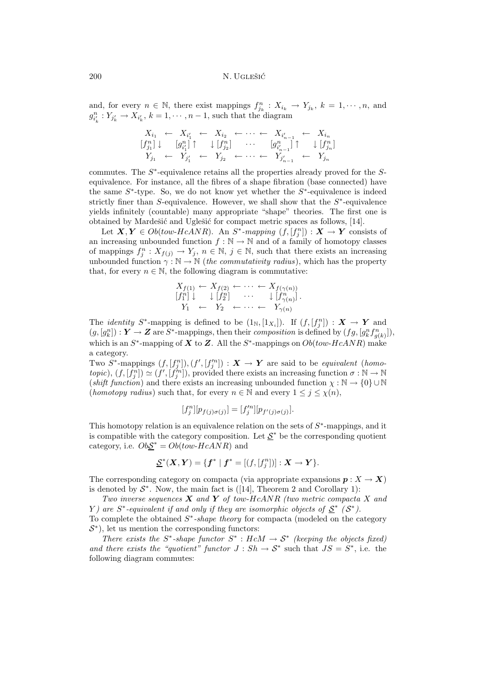and, for every  $n \in \mathbb{N}$ , there exist mappings  $f_{jk}^n : X_{i_k} \to Y_{j_k}$ ,  $k = 1, \dots, n$ , and  $a^n : Y_{i_k} \to Y_{i_k}$ ,  $k = 1, \dots, n$ , and  $g_{i'_k}: Y_{j'_k} \to X_{i'_k}, k = 1, \cdots, n-1$ , such that the diagram

$$
X_{i_1} \leftarrow X_{i'_1} \leftarrow X_{i_2} \leftarrow \cdots \leftarrow X_{i'_{n-1}} \leftarrow X_{i_n}
$$
\n
$$
[f_{j_1}^n] \downarrow [g_{i'_1}^n] \uparrow \downarrow [f_{j_2}^n] \cdots [g_{i'_{n-1}}^n] \uparrow \downarrow [f_{j_n}^n]
$$
\n
$$
Y_{j_1} \leftarrow Y_{j'_1} \leftarrow Y_{j_2} \leftarrow \cdots \leftarrow Y_{j'_{n-1}} \leftarrow Y_{j_n}
$$

commutes. The  $S^*$ -equivalence retains all the properties already proved for the  $S$ equivalence. For instance, all the fibres of a shape fibration (base connected) have the same  $S^*$ -type. So, we do not know yet whether the  $S^*$ -equivalence is indeed strictly finer than S-equivalence. However, we shall show that the  $S<sup>*</sup>$ -equivalence yields infinitely (countable) many appropriate "shape" theories. The first one is obtained by Mardešić and Uglešić for compact metric spaces as follows, [14].

Let  $X, Y \in Ob(tow-HcANR)$ . An  $S^*$ -mapping  $(f, [f^n_1]) : X \to Y$  consists of increasing unbounded function  $f : \mathbb{N} \to \mathbb{N}$  and of a family of homotony classes an increasing unbounded function  $f : \mathbb{N} \to \mathbb{N}$  and of a family of homotopy classes of mappings  $f_j^n : X_{f(j)} \to Y_j$ ,  $n \in \mathbb{N}$ ,  $j \in \mathbb{N}$ , such that there exists an increasing<br>unbounded function  $\alpha : \mathbb{N} \to \mathbb{N}$  (the commutativity radius), which has the property unbounded function  $\gamma : \mathbb{N} \to \mathbb{N}$  (*the commutativity radius*), which has the property that, for every  $n \in \mathbb{N}$ , the following diagram is commutative:

$$
X_{f(1)} \leftarrow X_{f(2)} \leftarrow \cdots \leftarrow X_{f(\gamma(n))}
$$
  
\n
$$
[f_1^n] \downarrow \qquad \qquad \downarrow [f_2^n] \qquad \cdots \qquad \qquad \downarrow [f_{\gamma(n)}^n].
$$
  
\n
$$
Y_1 \leftarrow Y_2 \leftarrow \cdots \leftarrow Y_{\gamma(n)}
$$

The *identity*  $S^*$ -mapping is defined to be  $(1_N, [1_{X_i}])$ . If  $(f, [f^n_j]) : \mathbf{X} \to \mathbf{Y}$  and  $(g, [g^n]) : \mathbf{Y} \to \mathbf{Z}$  are  $S^*$ -mappings then their composition is defined by  $(f, g, [g^n, f^n])$  $(g, [g_k^n]): \mathbf{Y} \to \mathbf{Z}$  are  $S^*$ -mappings, then their *composition* is defined by  $(fg, [g_k^n f_{g(k)}^n])$ ,<br>which is an  $S^*$  mapping of  $\mathbf{Y}$  to  $\mathbf{Z}$ , All the  $S^*$  mappings on  $O_k$  (*tow*  $H_0$  AND) make which is an  $S^*$ -mapping of  $X$  to  $Z$ . All the  $S^*$ -mappings on  $Ob(tow-HcANR)$  make a category.

Two  $S^*$ -mappings  $(f, [f^n]), (f', [f^m]) : X \to Y$  are said to be *equivalent* (*homo-tonic*)  $(f, [f^n]) \sim (f', [f^m])$  provided there exists an increasing function  $\sigma : \mathbb{N} \to \mathbb{N}$ *topic*),  $(f, [f^n]) \simeq (f', [f^m])$ , provided there exists an increasing function  $\sigma : \mathbb{N} \to \mathbb{N}$ <br>(*chift function*) and there exists an increasing unbounded function  $\chi : \mathbb{N} \to I \mathbb{N} \cup \mathbb{N}$ (*shift function*) and there exists an increasing unbounded function  $\chi : \mathbb{N} \to \{0\} \cup \mathbb{N}$ (*homotopy radius*) such that, for every  $n \in \mathbb{N}$  and every  $1 \leq j \leq \chi(n)$ ,

$$
[f_j^n][p_{f(j)\sigma(j)}] = [f_j^{\prime n}][p_{f'(j)\sigma(j)}].
$$

This homotopy relation is an equivalence relation on the sets of  $S<sup>*</sup>$ -mappings, and it is compatible with the category composition. Let  $S^*$  be the corresponding quotient category, i.e.  $Ob \underline{\mathcal{S}}^* = Ob(tow\text{-}HcANR)$  and

$$
\underline{\mathcal{S}}^*(\bm{X},\bm{Y}) = \{\bm{f}^* \mid \bm{f}^* = [(f,[f_j^n])] : \bm{X} \to \bm{Y}\}.
$$

The corresponding category on compacta (via appropriate expansions  $p: X \to X$ ) is denoted by  $S^*$ . Now, the main fact is ([14], Theorem 2 and Corollary 1):

*Two inverse sequences X and Y of* tow-HcANR *(two metric compacta* <sup>X</sup> *and* Y) are  $S^*$ -equivalent if and only if they are isomorphic objects of  $S^*$   $(S^*)$ .

To complete the obtained S∗*-shape theory* for compacta (modeled on the category  $\mathcal{S}^*$ ), let us mention the corresponding functors:

*There exists the*  $S^*$ -shape functor  $S^*$  :  $HcM \rightarrow S^*$  *(keeping the objects fixed) and there exists the "quotient" functor*  $J : Sh \to S^*$  such that  $JS = S^*$ , i.e. the following diagram commutes: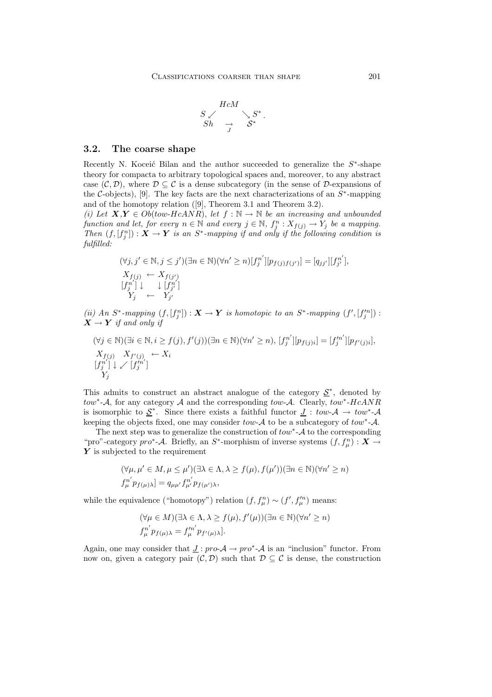$$
\begin{array}{ccc}\n & HcM & \\
 S \swarrow & & \searrow S^* \\
 Sh & \to & S^* \\
 & \end{array}.
$$

#### **3.2. The coarse shape**

Recently N. Koceić Bilan and the author succeeded to generalize the  $S<sup>*</sup>$ -shape theory for compacta to arbitrary topological spaces and, moreover, to any abstract case  $(C, D)$ , where  $D \subseteq C$  is a dense subcategory (in the sense of D-expansions of the C-objects), [9]. The key facts are the next characterizations of an  $S^*$ -mapping and of the homotopy relation ([9], Theorem 3.1 and Theorem 3.2).

(*i*) Let  $X, Y \in Ob(tow-HcANR)$ , let  $f : \mathbb{N} \to \mathbb{N}$  be an increasing and unbounded *function and let, for every*  $n \in \mathbb{N}$  *and every*  $j \in \mathbb{N}$ ,  $f_j^n : X_{f(j)} \to Y_j$  *be a mapping.*<br>*Then*  $(f \mid f^n) \cdot \mathbf{X} \to \mathbf{Y}$  *is an*  $S^*$  mapping *if and only if the following condition is Then*  $(f, [f^n_j]) : \mathbf{X} \to \mathbf{Y}$  *is an*  $S^*$ *-mapping if and only if the following condition is fulfilled fulfilled:*

$$
(\forall j, j' \in \mathbb{N}, j \leq j') (\exists n \in \mathbb{N}) (\forall n' \geq n) [f_j^{n'}][p_{f(j)f(j')}] = [q_{jj'}][f_{j'}^{n'}],
$$
  
\n
$$
X_{f(j)} \leftarrow X_{f(j')}
$$
  
\n
$$
[f_j^{n'}] \downarrow \qquad \qquad \downarrow [f_{j'}^{n'}]
$$
  
\n
$$
Y_j \leftarrow Y_{j'}
$$

(*ii*) An S<sup>\*</sup>-mapping  $(f, [f^n]): \mathbf{X} \to \mathbf{Y}$  *is homotopic to an S*<sup>\*</sup>-mapping  $(f', [f''_j]) : \mathbf{X} \to \mathbf{Y}$  *if and only if*  $X \rightarrow Y$  *if and only if* 

$$
(\forall j \in \mathbb{N})(\exists i \in \mathbb{N}, i \ge f(j), f'(j))(\exists n \in \mathbb{N})(\forall n' \ge n), [f_j^{n'}][p_{f(j)i}] = [f_j'^{n'}][p_{f'(j)i}],
$$
  
\n
$$
X_{f(j)} X_{f'(j)} \leftarrow X_i
$$
  
\n
$$
[f_j^{n'}] \downarrow \swarrow [f_j'^{n'}]
$$
  
\n
$$
Y_j
$$

This admits to construct an abstract analogue of the category  $\mathcal{S}^*$ , denoted by tow<sup>∗</sup>-A, for any category A and the corresponding tow-A. Clearly, tow<sup>\*</sup>-HcANR is isomorphic to  $S^*$ . Since there exists a faithful functor  $J : tow - A \rightarrow tow^* - A$ keeping the objects fixed, one may consider  $tow-A$  to be a subcategory of  $tow^*-\mathcal{A}$ .

The next step was to generalize the construction of  $tow^*$ -A to the corresponding "pro"-category *pro*\*- $\mathcal{A}$ . Briefly, an S<sup>\*</sup>-morphism of inverse systems  $(f, f_\mu^n) : \mathbf{X} \to \mathbf{Y}$  is subjected to the requirement *Y* is subjected to the requirement

$$
(\forall \mu, \mu' \in M, \mu \le \mu') (\exists \lambda \in \Lambda, \lambda \ge f(\mu), f(\mu')) (\exists n \in \mathbb{N}) (\forall n' \ge n)
$$
  

$$
f_{\mu}^{n'} p_{f(\mu)\lambda}] = q_{\mu\mu'} f_{\mu'}^{n'} p_{f(\mu')\lambda},
$$

while the equivalence ("homotopy") relation  $(f, f_\mu^n) \sim (f', f_\mu'^n)$  means:

$$
(\forall \mu \in M)(\exists \lambda \in \Lambda, \lambda \ge f(\mu), f'(\mu))(\exists n \in \mathbb{N})(\forall n' \ge n)
$$
  

$$
f_{\mu}^{n'} p_{f(\mu)\lambda} = f_{\mu}^{n'} p_{f'(\mu)\lambda}].
$$

Again, one may consider that  $J: pro \mathcal{A} \to pro^* \mathcal{A}$  is an "inclusion" functor. From now on, given a category pair  $(C, D)$  such that  $D \subseteq C$  is dense, the construction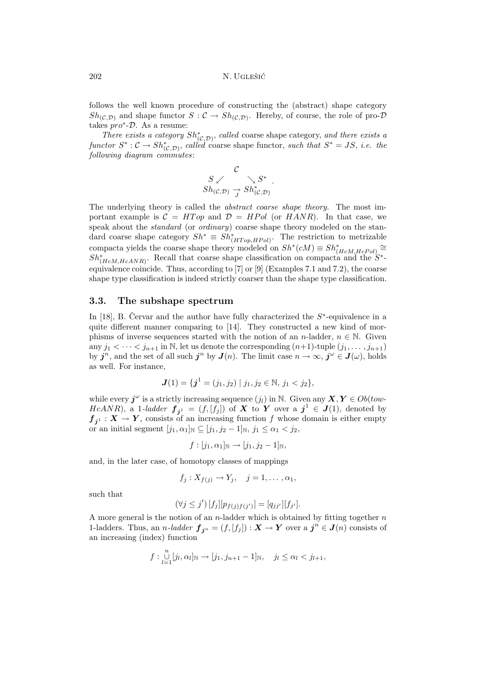follows the well known procedure of constructing the (abstract) shape category  $Sh_{(\mathcal{C},\mathcal{D})}$  and shape functor  $S:\mathcal{C}\to Sh_{(\mathcal{C},\mathcal{D})}$ . Hereby, of course, the role of pro- $\mathcal D$ takes  $pro^*$ - $\mathcal{D}$ . As a resume:

*There exists a category*  $Sh_{(C,\mathcal{D})}^*$ , *called* coarse shape category, *and there exists a ctor*  $S^* : C \to Sh^*$  *called* coarse shape functor *such that*  $S^* = IS$  *i.e. the functor*  $S^* : \mathcal{C} \to Sh^*_{(\mathcal{C}, \mathcal{D})}$ , *called* coarse shape functor, *such that*  $S^* = JS$ , *i.e. the following diagram commutes following diagram commutes*:

$$
\begin{array}{ccc}\nC & & \downarrow S^*\\ \nS_{h(\mathcal{C}, \mathcal{D})} & \to Sh^*_{(\mathcal{C}, \mathcal{D})}\n\end{array}
$$

The underlying theory is called the *abstract coarse shape theory.* The most important example is  $C = HTop$  and  $D = HPol$  (or  $HANR$ ). In that case, we speak about the *standard* (or *ordinary*) coarse shape theory modeled on the standard coarse shape category  $Sh^* \equiv Sh^*_{(HTop,HPol)}$ . The restriction to metrizable<br>compacts viable the seams shape theory madeled on  $St^*(cM) = St^*$ compacta yields the coarse shape theory modeled on  $Sh^*(cM) \equiv Sh^*_{(H_cM,HePol)} \cong$ <br>Sh<sup>\*</sup> Becall that coarse shape classification on compacta and the S<sup>\*</sup>  $Sh^*_{(HeM,HeANR)}$ . Recall that coarse shape classification on compacta and the  $S^*$ -<br>conjuniones soinaide. Thus, according to [7] or [0] (Examples 7.1 and 7.2), the searce equivalence coincide. Thus, according to [7] or [9] (Examples 7.1 and 7.2), the coarse shape type classification is indeed strictly coarser than the shape type classification.

#### **3.3. The subshape spectrum**

In [18], B. Cervar and the author have fully characterized the  $S^*$ -equivalence in a quite different manner comparing to [14]. They constructed a new kind of morphisms of inverse sequences started with the notion of an n-ladder,  $n \in \mathbb{N}$ . Given any  $j_1 < \cdots < j_{n+1}$  in N, let us denote the corresponding  $(n+1)$ -tuple  $(j_1, \ldots, j_{n+1})$ by  $j^n$ , and the set of all such  $j^n$  by  $J(n)$ . The limit case  $n \to \infty$ ,  $j^{\omega} \in J(\omega)$ , holds as well. For instance,

$$
\boldsymbol{J}(1)=\{\boldsymbol{j}^1=(j_1,j_2)\mid j_1,j_2\in\mathbb{N},\,j_1
$$

while every  $j^{\omega}$  is a strictly increasing sequence  $(j_l)$  in N. Given any  $X, Y \in Ob(tow-$ HcANR), a 1-ladder  $f_{j^1} = (f, [f_j])$  of X to Y over a  $j^1 \in J(1)$ , denoted by  $f_{j^1}: X \to Y$ , consists of an increasing function f whose domain is either empty or an initial segment  $[j_1, \alpha_1]_{\mathbb{N}} \subseteq [j_1, j_2 - 1]_{\mathbb{N}}, j_1 \leq \alpha_1 < j_2$ ,

$$
f:[j_1,\alpha_1]_{\mathbb{N}}\to[j_1,j_2-1]_{\mathbb{N}},
$$

and, in the later case, of homotopy classes of mappings

$$
f_j: X_{f(j)} \to Y_j, \quad j=1,\ldots,\alpha_1,
$$

such that

$$
(\forall j \leq j') [f_j][p_{f(j)f(j')}] = [q_{jj'}][f_{j'}].
$$

A more general is the notion of an n-ladder which is obtained by fitting together  $n$ 1-ladders. Thus, an *n*-ladder  $f_{j^n} = (f, [f_j]) : X \to Y$  over a  $j^n \in J(n)$  consists of an increasing (index) function

$$
f: \bigcup_{l=1}^{n} [j_l, \alpha_l]_{\mathbb{N}} \to [j_1, j_{n+1} - 1]_{\mathbb{N}}, \quad j_l \leq \alpha_l < j_{l+1},
$$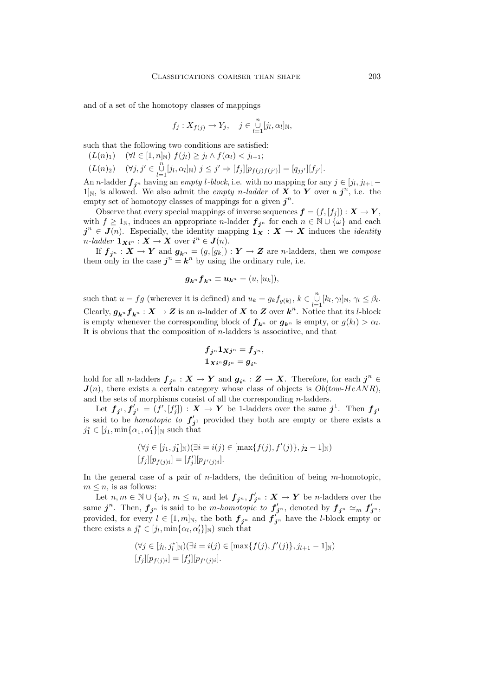and of a set of the homotopy classes of mappings

$$
f_j: X_{f(j)} \to Y_j, \quad j \in \bigcup_{l=1}^n [j_l, \alpha_l]_{\mathbb{N}},
$$

such that the following two conditions are satisfied:

- $(L(n)_1) \quad (\forall l \in [1, n]_{\mathbb{N}}) \ f(j_l) \geq j_l \wedge f(\alpha_l) < j_{l+1};$
- $(L(n)_2) \quad (\forall j, j' \in \bigcup_{l=1}^{n} [j_l, \alpha_l]_{\mathbb{N}}) \; j \leq j' \Rightarrow [f_j] [p_{f(j)f(j')}] = [q_{jj'}][f_{j'}].$ <br>
n n ladder f shaving an empty l block i.e. with no mapping for an

An *n*-ladder  $f_{j^n}$  having an *empty* l-block, i.e. with no mapping for any  $j \in [j_l, j_{l+1}-1]$ <br>lby is allowed. We also admit the *empty n-ladder* of **X** to **Y** over a  $i^n$  i.e. the  $1\vert_{\mathbb{N}}$ , is allowed. We also admit the *empty n*-ladder of **X** to **Y** over a  $j^{n}$ , i.e. the empty set of homotopy classes of mappings for a given  $j^n$ .

Observe that every special mappings of inverse sequences  $\boldsymbol{f} = (f, [f_j]) : \boldsymbol{X} \to \boldsymbol{Y}$ , with  $f \geq 1_N$ , induces an appropriate *n*-ladder  $f_{j^n}$  for each  $n \in \mathbb{N} \cup \{\omega\}$  and each  $j^{n} \in J(n)$ . Especially, the identity mapping  $1_X^{\bullet}$  :  $X \to X$  induces the *identity*  $n$ *-ladder*  $\mathbf{1}_{\mathbf{X}i^n}$  :  $\mathbf{X} \to \mathbf{X}$  over  $i^n \in J(n)$ .<br>
If  $f: \mathbf{X} \to \mathbf{Y}$  and  $g: = (g, [g])$ 

If  $f_{j^n}: X \to Y$  and  $g_{k^n} = (g, [g_k]) : Y \to Z$  are *n*-ladders, then we *compose* them only in the case  $j^n = k^n$  by using the ordinary rule, i.e.

$$
\boldsymbol{g}_{\boldsymbol{k}^n} \boldsymbol{f}_{\boldsymbol{k}^n} \equiv \boldsymbol{u}_{\boldsymbol{k}^n} = (u, [u_k]),
$$

such that  $u = fg$  (wherever it is defined) and  $u_k = g_k f_{g(k)}, k \in \bigcup_{l=1}^{\infty} [k_l, \gamma_l]_{\mathbb{N}}, \gamma_l \leq \beta_l$ .<br>Closely  $g \cdot f \cdot \mathbf{X} \to \mathbf{Z}$  is an *n* ladder of  $\mathbf{X}$  to  $\mathbf{Z}$  over  $\mathbf{h}^n$ . Notice that its *l* block Clearly,  $g_{k^n} f_{k^n} : X \to Z$  is an *n*-ladder of X to Z over  $k^n$ . Notice that its *l*-block is empty whenever the corresponding block of  $f_{\mathbf{k}^n}$  or  $g_{\mathbf{k}^n}$  is empty, or  $g(k_l) > \alpha_l$ . It is obvious that the composition of n-ladders is associative, and that

$$
f_{j^n}1_{Xj^n}=f_{j^n},\\1_{Xi^n}g_{i^n}=g_{i^n}
$$

hold for all *n*-ladders  $f_{j^n}: X \to Y$  and  $g_{i^n}: Z \to X$ . Therefore, for each  $j^n \in$  $J(n)$ , there exists a certain category whose class of objects is  $Ob(tow-HcANR)$ , and the sets of morphisms consist of all the corresponding n-ladders.

Let  $f_{j^1}, f'_{j^1} = (f', [f'_j]) : X \to Y$  be 1-ladders over the same  $j^1$ . Then  $f_{j^1}$ is said to be *homotopic to*  $f'_{j}$ <sup>1</sup> provided they both are empty or there exists a<br>  $i^* \in [i, \min\{\alpha, \alpha'\}]$ <sub>3</sub> such that  $j_1^* \in [j_1, \min\{\alpha_1, \alpha_1'\}]_{\mathbb{N}}$  such that

$$
(\forall j \in [j_1, j_1^*]_{\mathbb{N}})(\exists i = i(j) \in [\max\{f(j), f'(j)\}, j_2 - 1]_{\mathbb{N}})
$$

$$
[f_j][p_{f(j)i}] = [f'_j][p_{f'(j)i}].
$$

In the general case of a pair of  $n$ -ladders, the definition of being  $m$ -homotopic,  $m \leq n$ , is as follows:

Let  $n, m \in \mathbb{N} \cup \{\omega\}, m \leq n$ , and let  $f_{j^n}, f'_{j^n} : X \to Y$  be *n*-ladders over the same  $j^n$ . Then,  $f_{j^n}$  is said to be *m*-*homotopic to*  $f'_{j^n}$ , denoted by  $f_{j^n} \simeq_m f'_{j^n}$ , provided, for every  $l \in [1, m]_N$ , the both  $f_{j^n}$  and  $f'_{j^n}$  have the *l*-block empty or there exists a  $i^* \in [i, m]_N$  or  $Q'(\ln)$  such that there exists a  $j_l^* \in [j_l, \min\{\alpha_l, \alpha'_l\}]_{\mathbb{N}})$  such that

$$
(\forall j \in [j_l, j_l^*]_{\mathbb{N}})(\exists i = i(j) \in [\max\{f(j), f'(j)\}, j_{l+1} - 1]_{\mathbb{N}})
$$

$$
[f_j][p_{f(j)i}] = [f'_j][p_{f'(j)i}].
$$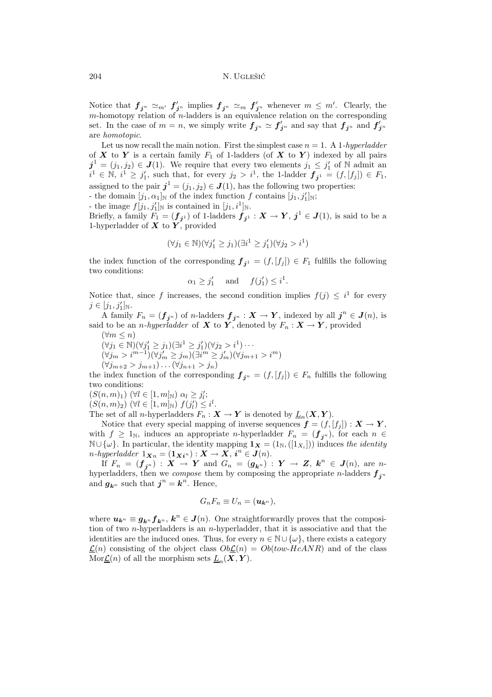Notice that  $f_{j^n} \simeq_{m'} f'_{j^n}$  implies  $f_{j^n} \simeq_m f'_{j^n}$  whenever  $m \leq m'$ . Clearly, the m-homotopy relation of n-ladders is an equivalence relation on the corresponding  $m$ -homotopy relation of  $n$ -ladders is an equivalence relation on the corresponding set. In the case of  $m = n$ , we simply write  $f_{j^n} \simeq f'_{j^n}$  and say that  $f_{j^n}$  and  $f'_{j^n}$ are *homotopic*.

Let us now recall the main notion. First the simplest case  $n = 1$ . A 1*-hyperladder* of *X* to *Y* is a certain family  $F_1$  of 1-ladders (of *X* to *Y*) indexed by all pairs  $i^1 - (i, i_0) \in I(1)$ . We require that every two elements  $i_i \leq i'$  of N admit an  $j^1 = (j_1, j_2) \in J(1)$ . We require that every two elements  $j_1 \leq j'_1$  of N admit an  $j^1 \in \mathbb{N}$   $j^1 \geq j'$  such that for every  $j_2 > j^1$  the 1-ladder  $f = (f, f) \in F$ .  $i^1 \in \mathbb{N}, i^1 \geq j'_1$ , such that, for every  $j_2 > i^1$ , the 1-ladder  $f_{j^1} = (f, [f_j]) \in F_1$ , assigned to the pair  $j^1 = (j_1, j_2) \in J(1)$ , has the following two properties:

- the domain  $[j_1, \alpha_1]_{\mathbb{N}}$  of the index function f contains  $[j_1, j'_1]_{\mathbb{N}}$ ;

- the image  $f[j_1, j'_1]_{\mathbb{N}}$  is contained in  $[j_1, i^1]_{\mathbb{N}}$ .

Briefly, a family  $F_1 = (f_{j1})$  of 1-ladders  $f_{j1} : X \to Y$ ,  $j^1 \in J(1)$ , is said to be a 1-hyperladder of **X** to **Y** provided 1-hyperladder of  $\boldsymbol{X}$  to  $\boldsymbol{Y}$ , provided

$$
(\forall j_1 \in \mathbb{N})(\forall j_1' \geq j_1)(\exists i^1 \geq j_1')(\forall j_2 > i^1)
$$

the index function of the corresponding  $f_{j^1} = (f, [f_j]) \in F_1$  fulfills the following two conditions:

$$
\alpha_1 \geq j'_1
$$
 and  $f(j'_1) \leq i^1$ .

Notice that, since f increases, the second condition implies  $f(j) \leq i^1$  for every  $j \in [j_1, j'_1]_{\mathbb{N}}.$ 

A family  $F_n = (f_{j^n})$  of n-ladders  $f_{j^n} : X \to Y$ , indexed by all  $j^n \in J(n)$ , is said to be an *n*-hyperladder of **X** to **Y**, denoted by  $F_n: \mathbf{X} \to \mathbf{Y}$ , provided

 $(\forall m \leq n)$  $(\forall j_1 \in \mathbb{N})(\forall j'_1 \geq j_1)(\exists i^1 \geq j'_1)(\forall j_2 > i^1) \cdots$  $(\forall j_m > i^{m-1})(\forall j'_m \geq j_m)(\exists i^m \geq j'_m)(\forall j_{m+1} > i^m)$  $(\forall j_{m+2} > j_{m+1}) \dots (\forall j_{n+1} > j_n)$ 

the index function of the corresponding  $f_{j^n} = (f, [f_j]) \in F_n$  fulfills the following two conditions:

 $(S(n, m)_1)$   $(\forall l \in [1, m]_{\mathbb{N}})$   $\alpha_l \geq j'_l;$ <br> $(S(n, m)_2)$   $(\forall l \in [1, m]_{\mathbb{N}})$   $f(j') <$ 

 $(S(n, m)_2) \ (\forall l \in [1, m]_{\mathbb{N}}) f(j'_l) \leq i^l.$ <br>The set of all n-hyperladders  $F \cdot \Sigma$ 

The set of all *n*-hyperladders  $F_n: X \to Y$  is denoted by  $L_n(X, Y)$ .

Notice that every special mapping of inverse sequences  $f = (f, [f_j]) : X \to Y$ , with  $f \geq 1_N$ , induces an appropriate *n*-hyperladder  $F_n = (\mathbf{f}_{j^n})$ , for each  $n \in$ N∪ $\{\omega\}$ . In particular, the identity mapping  $\mathbf{1}_{\mathbf{X}} = (1_{\mathbb{N}},([1_{X_i}]))$  induces *the identity*  $n$ *-hyperladder*  $1_{\mathbf{X}n} = (\mathbf{1}_{\mathbf{X}i^n}) : \mathbf{X} \to \mathbf{X}, i^n \in \mathbf{J}(n).$ <br>
If  $F = (\mathbf{f} \cdot) : \mathbf{X} \to \mathbf{Y}$  and  $G = (\mathbf{g} \cdot)$ .

If  $F_n = (f_{j^n}) : X \to Y$  and  $G_n = (g_{k^n}) : Y \to Z$ ,  $k^n \in J(n)$ , are n-<br>periodders, then we compose them by composing the appropriate n-ladders  $f$ . hyperladders, then we *compose* them by composing the appropriate n-ladders  $f_{j^n}$ and  $g_{k^n}$  such that  $j^n = k^n$ . Hence,

$$
G_nF_n\equiv U_n=(\boldsymbol{u}_{\boldsymbol{k}^n}),
$$

where  $u_{k^n} \equiv g_{k^n} f_{k^n}$ ,  $k^n \in J(n)$ . One straightforwardly proves that the composition of two  $n$ -hyperladders is an  $n$ -hyperladder, that it is associative and that the identities are the induced ones. Thus, for every  $n \in \mathbb{N} \cup \{\omega\}$ , there exists a category  $\underline{\mathcal{L}}(n)$  consisting of the object class  $Ob \underline{\mathcal{L}}(n) = Ob(tow-HcANR)$  and of the class Mor $\underline{\mathcal{L}}(n)$  of all the morphism sets  $\underline{L}_n(\boldsymbol{X}, Y)$ .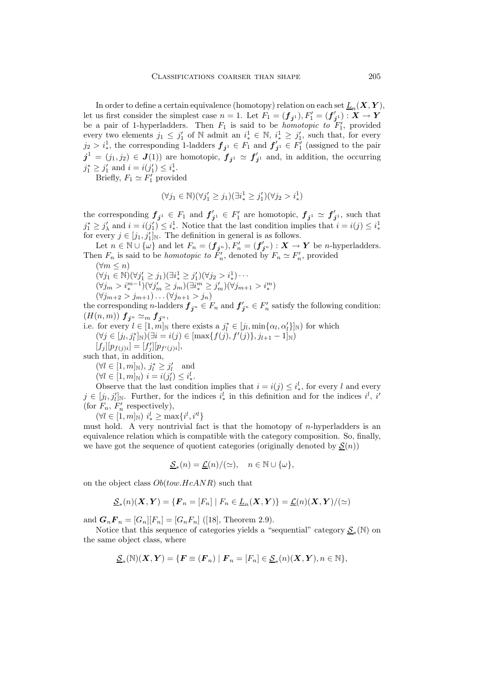In order to define a certain equivalence (homotopy) relation on each set  $L_n(\mathbf{X}, \mathbf{Y})$ ,<br>us first consider the simplest case  $n-1$ , Let  $F_n = (\mathbf{f}_n)$ ,  $F' = (\mathbf{f}')$ ,  $\mathbf{X} \to \mathbf{Y}$ let us first consider the simplest case  $n = 1$ . Let  $F_1 = (\mathbf{f}_{j1}), F'_1 = (\mathbf{f}'_{j1}) : \mathbf{X} \to \mathbf{Y}$ <br>be a pair of 1-hyperladders. Then  $F_1$  is said to be *homotopic to*  $F'_1$ , provided every two elements  $j_1 \leq j'_1$  of N admit an  $i^1_* \in \mathbb{N}, i^1_* \geq j'_1$ , such that, for every  $j_2 > i_*^1$ , the corresponding 1-ladders  $f_{j^1} \in F_1$  and  $f'_{j^1} \in F'_1$  (assigned to the pair  $j^1 = (j_1, j_2) \in J(1)$  are homotopic,  $f_{j^1} \simeq f'_{j^1}$  and, in addition, the occurring  $j^* \geq j'$  and  $j = j(j') \leq j^1$  $j_1^* \geq j_1'$  and  $i = i(j_1') \leq i_*^1$ .

Briefly,  $F_1 \simeq F'_1$  provided

$$
(\forall j_1 \in \mathbb{N})(\forall j_1' \ge j_1)(\exists i_*^1 \ge j_1')(\forall j_2 > i_*^1)
$$

the corresponding  $f_{j1} \in F_1$  and  $f'_{j1} \in F'_1$  are homotopic,  $f_{j1} \simeq f'_{j1}$ , such that  $i \geq i'$  and  $i = i(i') \leq i'$ . Notice that the last condition implies that  $i = i(i) \leq i'$ .  $j_1^* \geq j'_\lambda$  and  $i = i(j'_1) \leq i_*^1$ . Notice that the last condition implies that  $i = i(j) \leq i_*^1$ <br>for every  $i \in [i, j']_k$ . The definition in general is as follows ∗ for every  $j \in [j_1, j'_1]_{\mathbb{N}}$ . The definition in general is as follows.

Let  $n \in \mathbb{N} \cup \{\omega\}$  and let  $F_n = (f_{j^n}), F'_n = (f'_{j^n}): X \to Y$  be *n*-hyperladders. Then  $F_n$  is said to be *homotopic to*  $F'_n$ , denoted by  $F_n \simeq F'_n$ , provided  $(\forall m \leq n)$ 

 $(\forall m \leq n)$  $(\forall j_1 \in \mathbb{N})(\forall j'_1 \geq j_1)(\exists i_*^1 \geq j'_1)(\forall j_2 > i_*^1) \cdots$  $(\forall j_m > i_m^{m-1})(\forall j'_m \geq j_m)(\exists i^m \geq j'_m)(\forall j_{m+1} > i_*^m)$  $(\forall j_{m+2} > j_{m+1}) \dots (\forall j_{n+1} > j_n)$ 

the corresponding *n*-ladders  $f_{j^n} \in F_n$  and  $f'_{j^n} \in F'_n$  satisfy the following condition:<br>( $H(n, m)$ )  $f \sim f$  $(H(n, m))$   $f_{j^n} \simeq_m f_{j^n}$ ,

i.e. for every  $l \in [1, m]_{\mathbb{N}}$  there exists a  $j_l^* \in [j_l, \min\{\alpha_l, \alpha'_l\}]_{\mathbb{N}}$  for which  $(\forall i \in [j_l, j^*]_{\mathbb{N}})(\exists i = j(i) \in [\max f(i), f'(i)] \}$  i.e.  $= 1]_{\mathbb{N}}$ .  $(\forall j \in [j_l, j_l^*]_{\mathbb{N}})(\exists i = i(j) \in [\max\{f(j), f'(j)\}, j_{l+1} - 1]_{\mathbb{N}})$ <br>[f.][n, g, g, ] – [f'][n, g, g, ]  $[f_j][p_{f(j)i}] = [f'_j][p_{f'(j)i}],$ 

such that, in addition,

$$
(\forall l \in [1, m]_{\mathbb{N}}), j_l^* \geq j_l'
$$
 and  
 $(\forall l \in [1, m]_{\mathbb{N}}), i = i(j') \leq i_l$ 

$$
(\forall l \in [1, m]_{\mathbb{N}})
$$
  $i = i(j'_l) \leq i'_*$ .  
Observe that the last conflict

Observe that the last condition implies that  $i = i(j) \leq i^l_*$ , for every l and every  $j \in [j_l, j'_l]_{\mathbb{N}}$ . Further, for the indices  $i^l_*$  in this definition and for the indices  $i^l, i'$ <br>(for  $F$ ,  $F'$  respectively) (for  $F_n$ ,  $F'_n$  respectively),<br>( $\forall l \in [1, m]$ )  $i^l > m$ 

 $(\forall l \in [1, m]_{\mathbb{N}}) i'_{*} \geq \max\{i^{l}, i^{l'}\}$ 

must hold. A very nontrivial fact is that the homotopy of n-hyperladders is an equivalence relation which is compatible with the category composition. So, finally, we have got the sequence of quotient categories (originally denoted by  $S(n)$ )

$$
\underline{\mathcal{S}}_*(n) = \underline{\mathcal{L}}(n) / (\simeq), \quad n \in \mathbb{N} \cup \{\omega\},
$$

on the object class  $Ob(tow.HcANR)$  such that

$$
\underline{\mathcal{S}}_*(n)(\mathbf{X}, \mathbf{Y}) = \{ \mathbf{F}_n = [F_n] \mid F_n \in \underline{L}_n(\mathbf{X}, \mathbf{Y}) \} = \underline{\mathcal{L}}(n)(\mathbf{X}, \mathbf{Y}) / (\simeq)
$$

and  $G_nF_n = [G_n][F_n] = [G_nF_n]$  ([18], Theorem 2.9).

Notice that this sequence of categories yields a "sequential" category  $\mathcal{S}_*(\mathbb{N})$  on the same object class, where

$$
\underline{\mathcal{S}}_*(\mathbb{N})(\mathbf{X}, \mathbf{Y}) = \{ \mathbf{F} \equiv (\mathbf{F}_n) \mid \mathbf{F}_n = [F_n] \in \underline{\mathcal{S}}_*(n)(\mathbf{X}, \mathbf{Y}), n \in \mathbb{N} \},
$$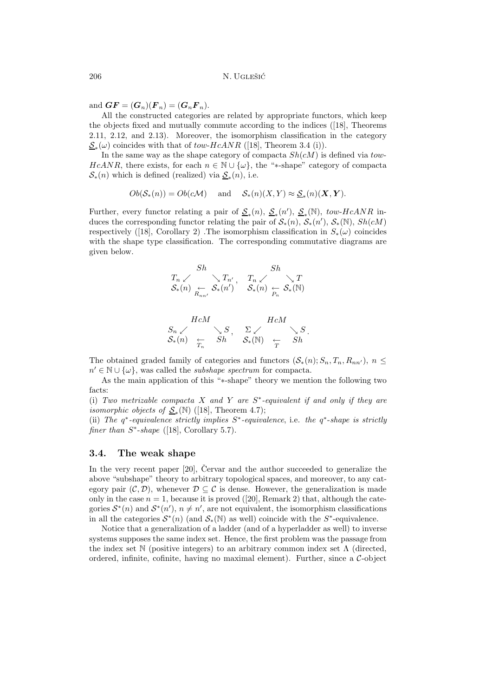and  $\boldsymbol{G}\boldsymbol{F}=(\boldsymbol{G}_n)(\boldsymbol{F}_n)=(\boldsymbol{G}_n\boldsymbol{F}_n).$ 

All the constructed categories are related by appropriate functors, which keep the objects fixed and mutually commute according to the indices ([18], Theorems 2.11, 2.12, and 2.13). Moreover, the isomorphism classification in the category  $S_*(\omega)$  coincides with that of tow-HcANR ([18], Theorem 3.4 (i)).

In the same way as the shape category of compacta  $Sh(cM)$  is defined via tow-HcANR, there exists, for each  $n \in \mathbb{N} \cup \{\omega\}$ , the "\*-shape" category of compacta  $\mathcal{S}_*(n)$  which is defined (realized) via  $\underline{\mathcal{S}}_*(n)$ , i.e.

$$
Ob(S_*(n)) = Ob(c\mathcal{M})
$$
 and  $S_*(n)(X,Y) \approx \underline{S}_*(n)(\mathbf{X}, \mathbf{Y}).$ 

Further, every functor relating a pair of  $S_*(n)$ ,  $S_*(n')$ ,  $S_*(N)$ , tow-HcANR induces the corresponding functor relating the pair of  $S_*(n)$ ,  $S_*(n')$ ,  $S_*(\mathbb{N})$ ,  $Sh(cM)$ respectively ([18], Corollary 2) .The isomorphism classification in  $S_*(\omega)$  coincides with the shape type classification. The corresponding commutative diagrams are given below.

$$
Sh \n\searrow T_n \swarrow \n\searrow T_{n'}, \nT_n \swarrow \n\searrow T \searrow T \searrow \searrow T
$$
\n
$$
S_*(n) \n\searrow \n\searrow T \searrow \searrow T \searrow \searrow T
$$
\n
$$
S_*(n) \n\searrow \n\searrow T \searrow \searrow T
$$
\n
$$
S_*(n) \n\searrow \n\searrow T \searrow \searrow T
$$

$$
\begin{array}{ccc}\n & HcM & HcM \\
\mathcal{S}_n \swarrow & \searrow S, & \Sigma \swarrow & \searrow S \\
\mathcal{S}_*(n) & \xleftarrow{\sim} & Sh & \mathcal{S}_*(\mathbb{N}) & \xleftarrow{\sim} & Sh \\
 & \searrow & \searrow & Sh & \n\end{array}
$$

The obtained graded family of categories and functors  $(S_*(n); S_n, T_n, R_{nn'})$ ,  $n \leq$  $n' \in \mathbb{N} \cup \{\omega\}$ , was called the *subshape spectrum* for compacta.

As the main application of this "∗-shape" theory we mention the following two facts:

(i) *Two metrizable compacta* X *and* Y *are* S∗*-equivalent if and only if they are isomorphic objects of*  $S_*(\mathbb{N})$  ([18], Theorem 4.7);

(ii) *The* q∗*-equivalence strictly implies* S∗*-equivalence*, i.e. *the* q∗-*shape is strictly finer than*  $S<sup>*</sup>$ -*shape* ([18], Corollary 5.7).

#### **3.4. The weak shape**

In the very recent paper  $[20]$ , Cervar and the author succeeded to generalize the above "subshape" theory to arbitrary topological spaces, and moreover, to any category pair  $(C, \mathcal{D})$ , whenever  $\mathcal{D} \subseteq \mathcal{C}$  is dense. However, the generalization is made only in the case  $n = 1$ , because it is proved ([20], Remark 2) that, although the categories  $S^*(n)$  and  $S^*(n')$ ,  $n \neq n'$ , are not equivalent, the isomorphism classifications in all the categories  $S^*(n)$  (and  $S_*(\mathbb{N})$  as well) coincide with the  $S^*$ -equivalence.

Notice that a generalization of a ladder (and of a hyperladder as well) to inverse systems supposes the same index set. Hence, the first problem was the passage from the index set  $\mathbb N$  (positive integers) to an arbitrary common index set  $\Lambda$  (directed, ordered, infinite, cofinite, having no maximal element). Further, since a  $\mathcal{C}\text{-object}$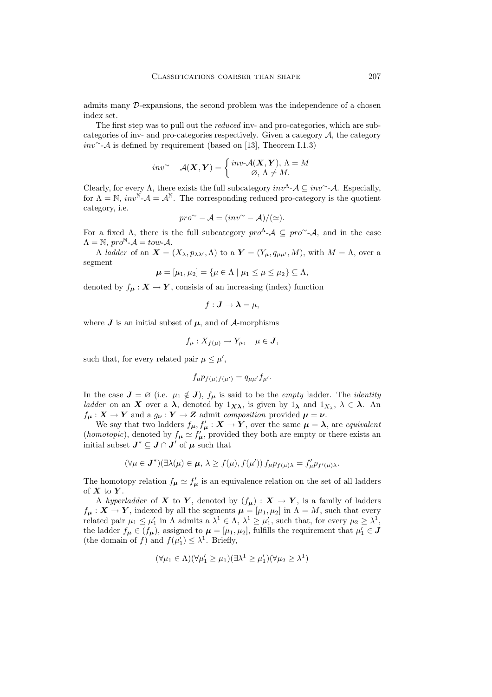admits many D-expansions, the second problem was the independence of a chosen index set.

The first stepwas to pull out the *reduced* inv- and pro-categories, which are subcategories of inv- and pro-categories respectively. Given a category A, the category *inv* $~\sim$ - $\mathcal A$  is defined by requirement (based on [13], Theorem I.1.3)

$$
inv^{\sim} - \mathcal{A}(\boldsymbol{X}, \boldsymbol{Y}) = \begin{cases} inv\mathcal{A}(\boldsymbol{X}, \boldsymbol{Y}), \Lambda = M \\ \varnothing, \Lambda \neq M. \end{cases}
$$

Clearly, for every  $\Lambda$ , there exists the full subcategory  $inv^{\Lambda}$ - $\mathcal{A} \subseteq inv^{\sim}$ - $\mathcal{A}$ . Especially, for  $\Lambda = \mathbb{N}$ ,  $inv^{\mathbb{N}}$ - $\mathcal{A} = \mathcal{A}^{\mathbb{N}}$ . The corresponding reduced pro-category is the quotient category, i.e.

$$
pro^{\sim} - A = (inv^{\sim} - A)/(\simeq).
$$

For a fixed  $\Lambda$ , there is the full subcategory  $pro^{\Lambda}$ - $\mathcal{A} \subseteq pro^{\sim}$ - $\mathcal{A}$ , and in the case  $\Lambda = \mathbb{N}, pro^{\mathbb{N}}\text{-}\mathcal{A} = \text{tow-}\mathcal{A}.$ 

A *ladder* of an  $\mathbf{X} = (X_{\lambda}, p_{\lambda\lambda'}, \Lambda)$  to a  $\mathbf{Y} = (Y_{\mu}, q_{\mu\mu'}, M)$ , with  $M = \Lambda$ , over a segment

$$
\boldsymbol{\mu} = [\mu_1, \mu_2] = {\boldsymbol{\mu} \in \Lambda \mid \mu_1 \leq \mu \leq \mu_2 } \subseteq \Lambda,
$$

denoted by  $f_{\mu}: X \to Y$ , consists of an increasing (index) function

$$
f: \boldsymbol{J} \to \boldsymbol{\lambda} = \mu,
$$

where  $J$  is an initial subset of  $\mu$ , and of  $\mathcal{A}$ -morphisms

$$
f_{\mu}: X_{f(\mu)} \to Y_{\mu}, \quad \mu \in \mathbf{J},
$$

such that, for every related pair  $\mu \leq \mu'$ ,

$$
f_{\mu}p_{f(\mu)f(\mu')} = q_{\mu\mu'}f_{\mu'}.
$$

In the case  $J = \emptyset$  (i.e.  $\mu_1 \notin J$ ),  $f_{\mu}$  is said to be the *empty* ladder. The *identity ladder* on an *X* over a  $\lambda$ , denoted by  $1_{X\lambda}$ , is given by  $1_{\lambda}$  and  $1_{X_{\lambda}}$ ,  $\lambda \in \lambda$ . An  $f_{\mu}: X \to Y$  and a  $g_{\nu}: Y \to Z$  admit *composition* provided  $\mu = \nu$ .

We say that two ladders  $f_{\mu}, f'_{\mu} : X \to Y$ , over the same  $\mu = \lambda$ , are *equivalent* (*homotopic*), denoted by  $f_{\mu} \simeq f'_{\mu}$ , provided they both are empty or there exists an initial subset  $J^* \subseteq J \cap J'$  of  $\mu$  such that

$$
(\forall \mu \in \mathbf{J}^*)(\exists \lambda(\mu) \in \boldsymbol{\mu}, \, \lambda \ge f(\mu), f(\mu')) \, f_{\mu} p_{f(\mu)\lambda} = f'_{\mu} p_{f'(\mu)\lambda}.
$$

The homotopy relation  $f_{\mu} \simeq f'_{\mu}$  is an equivalence relation on the set of all ladders of *X* to *Y* .

A *hyperladder* of *X* to *Y*, denoted by  $(f_u) : X \to Y$ , is a family of ladders  $f_{\mu}: X \to Y$ , indexed by all the segments  $\mu = [\mu_1, \mu_2]$  in  $\Lambda = M$ , such that every related pair  $\mu_1 \le \mu'_1$  in  $\Lambda$  admits a  $\lambda^1 \in \Lambda$ ,  $\lambda^1 \ge \mu'_1$ , such that, for every  $\mu_2 \ge \lambda^1$ , the ladder  $f_{\mu} \in (f_{\mu})$ , assigned to  $\mu = [\mu_1, \mu_2]$ , fulfills the requirement that  $\mu'_1 \in J$ <br>(the domain of f) and  $f(u') \leq \lambda^1$ . Briefly (the domain of f) and  $f(\mu'_1) \leq \lambda^1$ . Briefly,

$$
(\forall \mu_1 \in \Lambda)(\forall \mu'_1 \ge \mu_1)(\exists \lambda^1 \ge \mu'_1)(\forall \mu_2 \ge \lambda^1)
$$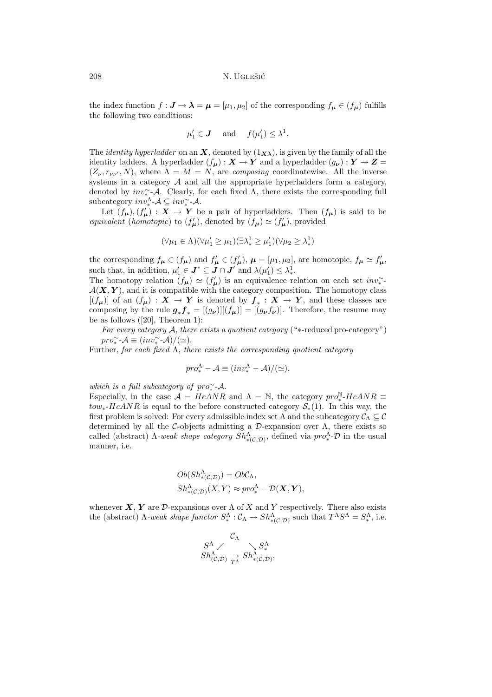the index function  $f : J \to \lambda = \mu = [\mu_1, \mu_2]$  of the corresponding  $f_{\mu} \in (f_{\mu})$  fulfills the following two conditions:

$$
\mu'_1 \in \mathbf{J}
$$
 and  $f(\mu'_1) \leq \lambda^1$ .

The *identity hyperladder* on an *X*, denoted by  $(1_{X_{\lambda}})$ , is given by the family of all the identity ladders. A hyperladder  $(f_{\mu}): X \to Y$  and a hyperladder  $(g_{\nu}): Y \to Z =$  $(Z_{\nu}, r_{\nu\nu'}, N)$ , where  $\Lambda = M = N$ , are *composing* coordinatewise. All the inverse systems in a category  $A$  and all the appropriate hyperladders form a category, denoted by  $inv^{\sim}_{\bullet}$ -A. Clearly, for each fixed  $\Lambda$ , there exists the corresponding full subcategory  $inv^{\Lambda}_{*}$ - $\mathcal{A} \subseteq inv^{\sim}_{*}$ - $\mathcal{A}$ .

Let  $(f_{\mu}), (f'_{\mu}) : X \to Y$  be a pair of hyperladders. Then  $(f_{\mu})$  is said to be *equivalent* (*homotopic*) to  $(f_{\mu})$ , denoted by  $(f_{\mu}) \simeq (f'_{\mu})$ , provided

$$
(\forall \mu_1 \in \Lambda)(\forall \mu'_1 \ge \mu_1)(\exists \lambda_*^1 \ge \mu'_1)(\forall \mu_2 \ge \lambda_*^1)
$$

the corresponding  $f_{\mu} \in (f_{\mu})$  and  $f'_{\mu} \in (f'_{\mu})$ ,  $\mu = [\mu_1, \mu_2]$ , are homotopic,  $f_{\mu} \simeq f'_{\mu}$ ,<br>such that in addition  $u' \in \mathbf{I}^* \subseteq \mathbf{I} \cap \mathbf{I}'$  and  $\mathcal{U}(u') \leq \mathcal{U}$ such that, in addition,  $\mu'_1 \in J^* \subseteq J \cap J'$  and  $\lambda(\mu'_1) \leq \lambda_*^1$ .<br>The homotopy relation  $(f) \sim (f')$  is an equivalence re

The homotopy relation  $(f_{\mu}) \simeq (f'_{\mu})$  is an equivalence relation on each set  $inv^{\sim}_{*}$  $\mathcal{A}(\mathbf{X}, \mathbf{Y})$ , and it is compatible with the category composition. The homotopy class  $[(f_{\mu})]$  of an  $(f_{\mu})$  :  $X \to Y$  is denoted by  $f_* : X \to Y$ , and these classes are composing by the rule  $g_* f_* = [(g_\nu)][(f_\mu)] = [(g_\nu f_\nu)]$ . Therefore, the resume may be as follows  $([20],$  Theorem 1):

*For every category* A, *there exists a quotient category* ("∗-reduced pro-category")  $pro^{\sim}_{*}$ - $\mathcal{A} \equiv (inv^{\sim}_{*}$ - $\mathcal{A})/(\simeq)$ .

Further, *for each fixed* Λ, *there exists the corresponding quotient category*

$$
pro^{\Lambda}_{*} - A \equiv (inv^{\Lambda}_{*} - A) / (\simeq),
$$

*which is a full subcategory of pro*<sup>∼</sup>-*A*.

Especially, in the case  $\mathcal{A} = HcANR$  and  $\Lambda = \mathbb{N}$ , the category  $pro^{\mathbb{N}}_* HcANR =$  $tow_*-HcANR$  is equal to the before constructed category  $S_*(1)$ . In this way, the first problem is solved: For every admissible index set  $\Lambda$  and the subcategory  $\mathcal{C}_{\Lambda} \subseteq \mathcal{C}$ determined by all the C-objects admitting a  $\mathcal{D}$ -expansion over  $\Lambda$ , there exists so called (abstract)  $\Lambda$ -weak shape category  $Sh^{\Lambda}_{*(\mathcal{C}, \mathcal{D})}$ , defined via  $pro^{\Lambda}_{*}$ - $\mathcal{D}$  in the usual manner i.e. manner, i.e.

$$
Ob(Sh_{*(\mathcal{C},\mathcal{D})}^{\Lambda}) = Ob\mathcal{C}_{\Lambda},
$$
  

$$
Sh_{*(\mathcal{C},\mathcal{D})}^{\Lambda}(X,Y) \approx pro_{*}^{\Lambda} - \mathcal{D}(\mathbf{X}, \mathbf{Y}),
$$

whenever *X*, *Y* are *D*-expansions over  $\Lambda$  of *X* and *Y* respectively. There also exists the (abstract)  $\Lambda$ -weak shape functor  $S^{\Lambda}_* : C_{\Lambda} \to Sh^{\Lambda}_{*(\mathcal{C}, \mathcal{D})}$  such that  $T^{\Lambda}S^{\Lambda} = S^{\Lambda}_*$ , i.e.

$$
S^{\Lambda} \swarrow \longrightarrow S^{\Lambda} S^{\Lambda}_{k(\mathcal{C},\mathcal{D})} S^{\Lambda}_{\tau\Lambda} S^{\Lambda}_{*(\mathcal{C},\mathcal{D})},
$$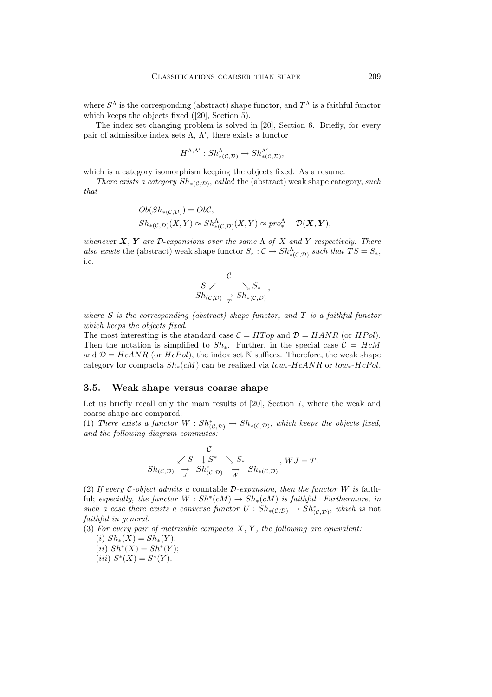where  $S^{\Lambda}$  is the corresponding (abstract) shape functor, and  $T^{\Lambda}$  is a faithful functor which keeps the objects fixed ([20], Section 5).

The index set changing problem is solved in [20], Section 6. Briefly, for every pair of admissible index sets  $\Lambda$ ,  $\Lambda'$ , there exists a functor

$$
H^{\Lambda,\Lambda'}: Sh^{\Lambda}_{*(\mathcal{C},\mathcal{D})}\to Sh^{ \Lambda'}_{*(\mathcal{C},\mathcal{D})},
$$

which is a category isomorphism keeping the objects fixed. As a resume:

*There exists a category*  $Sh_{*(\mathcal{C},\mathcal{D})}$ , *called* the (abstract) weak shape category, *such that*

$$
Ob(Sh_{*(\mathcal{C},\mathcal{D})}) = Ob\mathcal{C},
$$
  

$$
Sh_{*(\mathcal{C},\mathcal{D})}(X,Y) \approx Sh^{\Lambda}_{*(\mathcal{C},\mathcal{D})}(X,Y) \approx pro^{\Lambda}_{*} - \mathcal{D}(\mathbf{X}, \mathbf{Y}),
$$

*wheneve*<sup>r</sup> *X*, *Y are* <sup>D</sup>-*expansions over the same* <sup>Λ</sup> *of* <sup>X</sup> *and* <sup>Y</sup> *respectively*. *There* also exists the (abstract) weak shape functor  $S_* : \mathcal{C} \to Sh^{\Lambda}_{*(\mathcal{C}, \mathcal{D})}$  such that  $TS = S_*$ , i.e.

$$
S \swarrow \searrow S_*Sh_{(C,\mathcal{D})} \xrightarrow{\sim} Sh_{*(C,\mathcal{D})}
$$

*where* S *is the corresponding (abstract) shape functor, and* T *is a faithful functor which keeps the objects fixed*.

The most interesting is the standard case  $C = HTop$  and  $D = HANR$  (or  $HPol$ ). Then the notation is simplified to  $Sh_*$ . Further, in the special case  $\mathcal{C} = HcM$ and  $\mathcal{D} = HcANR$  (or  $HcPol$ ), the index set N suffices. Therefore, the weak shape category for compacta  $Sh_*(cM)$  can be realized via  $tow_*-HcANR$  or  $tow_*-HePol$ .

#### **3.5. Weak shape versus coarse shape**

Let us briefly recall only the main results of [20], Section 7, where the weak and coarse shape are compared:

(1) There exists a functor  $W : Sh^*_{(\mathcal{C}, \mathcal{D})} \to Sh_{*(\mathcal{C}, \mathcal{D})}$ , which keeps the objects fixed,<br>and the following diagram commutes: *and the following diagram commutes:*

 $\overline{a}$ 

$$
S_{h(C,D)} \xrightarrow{C} S \downarrow S^* \searrow S_*
$$
  
\n
$$
Sh_{(C,D)} \xrightarrow{S} Sh_{(C,D)}^* \xrightarrow{W} Sh_{*(C,D)}, WJ = T.
$$

(2) *If every* C*-object admits a* countable D*-expansion, then the functor* W *is* faithful; *especially, the functor*  $W : Sh^*(cM) \to Sh^*(cM)$  *is faithful. Furthermore, in such a case there exists a converse functor*  $U : Sh_{*(\mathcal{C},\mathcal{D})} \to Sh_{(\mathcal{C},\mathcal{D})}^*$ , *which is* not *faithful in general faithful in general.*

(3) *For every pair of metrizable compacta* X, Y *, the following are equivalent:*

- (i)  $Sh_*(X) = Sh_*(Y);$ (*ii*)  $Sh^*(X) = Sh^*(Y)$ ;
- (iii)  $S^*(X) = S^*(Y)$ .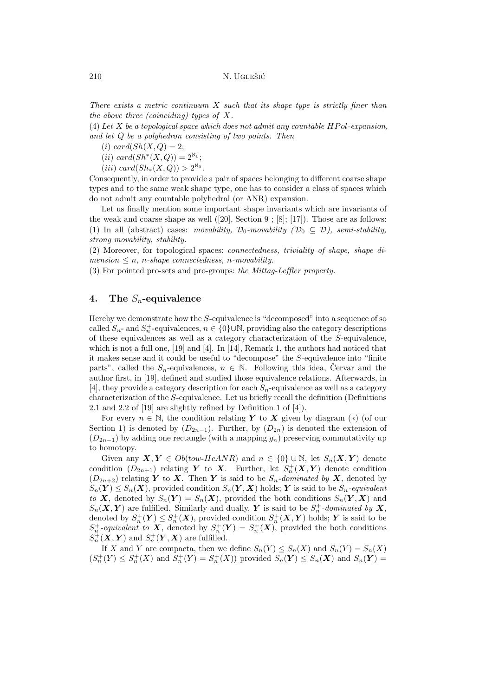*There exists a metric continuum* X *such that its shape type is strictly finer than the above three (coinciding) types of* X*.*

(4) *Let* X *be a topological space which does not admit any countable* HP ol*-expansion, and let* Q *be a polyhedron consisting of two points. Then*

(i) card $(Sh(X, Q) = 2;$ 

(*ii*)  $card(Sh^*(X, Q)) = 2^{\aleph_0}$ ;

(iii) card( $Sh_*(X,Q)$ ) >  $2^{\aleph_0}$ .

Consequently, in order to provide a pair of spaces belonging to different coarse shape types and to the same weak shape type, one has to consider a class of spaces which do not admit any countable polyhedral (or ANR) expansion.

Let us finally mention some important shape invariants which are invariants of the weak and coarse shape as well  $([20],$  Section  $9$ ;  $[8]$ ;  $[17]$ ). Those are as follows: (1) In all (abstract) cases: *movability*,  $\mathcal{D}_0$ -movability ( $\mathcal{D}_0 \subseteq \mathcal{D}$ ), semi-stability, *strong movability, stability.*

(2) Moreover, for topological spaces: *connectedness, triviality of shape, shape di* $mension \leq n$ , *n-shape connectedness*, *n-movability*.

(3) For pointed pro-sets and pro-groups: *the Mittag-Leffler property.*

# **4. The** *Sn***-equivalence**

Hereby we demonstrate how the S-equivalence is "decomposed" into a sequence of so called  $S_n$ - and  $S_n^+$ -equivalences,  $n \in \{0\} \cup \mathbb{N}$ , providing also the category descriptions of the  $S$ -equivalence of these equivalences as well as a category characterization of the S-equivalence, which is not a full one, [19] and [4]. In [14], Remark 1, the authors had noticed that it makes sense and it could be useful to "decompose" the S-equivalence into "finite parts", called the  $S_n$ -equivalences,  $n \in \mathbb{N}$ . Following this idea, Cervar and the author first, in [19], defined and studied those equivalence relations. Afterwards, in [4], they provide a category description for each  $S_n$ -equivalence as well as a category characterization of the S-equivalence. Let us briefly recall the definition (Definitions 2.1 and 2.2 of [19] are slightly refined by Definition 1 of [4]).

For every  $n \in \mathbb{N}$ , the condition relating *Y* to *X* given by diagram (\*) (of our Section 1) is denoted by  $(D_{2n-1})$ . Further, by  $(D_{2n})$  is denoted the extension of  $(D_{2n-1})$  by adding one rectangle (with a mapping  $g_n$ ) preserving commutativity up to homotopy.

Given any  $X, Y \in Ob(tow-HcANR)$  and  $n \in \{0\} \cup \mathbb{N}$ , let  $S_n(X, Y)$  denote condition  $(D_{2n+1})$  relating *Y* to *X*. Further, let  $S_n^+(X, Y)$  denote condition  $(D_{2n+1})$  relating *Y* to *X*. Then *Y* is said to be *S -dominated by X* denoted by  $(D_{2n+2})$  relating *Y* to *X*. Then *Y* is said to be  $S_n$ -dominated by *X*, denoted by  $S_n(Y) \leq S_n(X)$ , provided condition  $S_n(Y, X)$  holds; *Y* is said to be  $S_n$ -equivalent *to X*, denoted by  $S_n(Y) = S_n(X)$ , provided the both conditions  $S_n(Y, X)$  and  $S_n(\mathbf{X}, \mathbf{Y})$  are fulfilled. Similarly and dually,  $\mathbf{Y}$  is said to be  $S_n^+$ -dominated by  $\mathbf{X}$ , denoted by  $\mathbf{X}^+(\mathbf{Y}) \leq S^+(\mathbf{X})$  provided condition  $S^+(\mathbf{X}, \mathbf{Y})$  holds:  $\mathbf{Y}$  is said to be denoted by  $S_n^+(Y) \leq S_n^+(X)$ , provided condition  $S_n^+(X, Y)$  holds; *Y* is said to be  $S^+$ -conjugated to **X** denoted by  $S^+(Y) = S^+(X)$  provided the both conditions  $S_n^+$ -equivalent to **X**, denoted by  $S_n^+(\mathbf{Y}) = S_n^+(\mathbf{X})$ , provided the both conditions  $S^+(\mathbf{X} \mathbf{V})$  and  $S^+(\mathbf{V} \mathbf{X})$  are fulfilled  $S_n^+ (X, Y)$  and  $S_n^+ (Y, X)$  are fulfilled.

If X and Y are compacta, then we define  $S_n(Y) \leq S_n(X)$  and  $S_n(Y) = S_n(X)$  $(S_n^+(Y) \leq S_n^+(X)$  and  $S_n^+(Y) = S_n^+(X)$  provided  $S_n(Y) \leq S_n(X)$  and  $S_n(Y) =$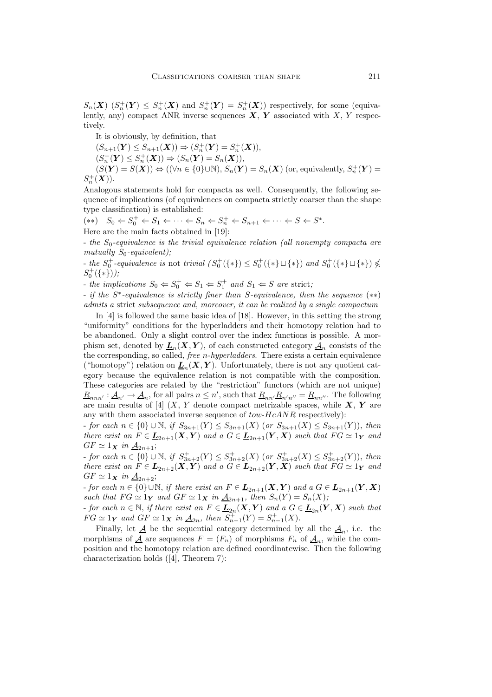$S_n(\boldsymbol{X})$   $(S_n^+(\boldsymbol{Y}) \leq S_n^+(\boldsymbol{X})$  and  $S_n^+(\boldsymbol{Y}) = S_n^+(\boldsymbol{X})$  respectively, for some (equiva-<br>lently any) compact ANB inverse sequences  $\boldsymbol{X}$   $\boldsymbol{Y}$  associated with  $\boldsymbol{X}$   $\boldsymbol{Y}$  respeclently, any) compact ANR inverse sequences  $\mathbf{X}, \mathbf{Y}$  associated with X, Y respectively.

It is obviously, by definition, that

 $(S_{n+1}(\mathbf{Y}) \leq S_{n+1}(\mathbf{X})) \Rightarrow (S_n^+(\mathbf{Y}) = S_n^+(\mathbf{X})),$ <br>  $(S^+(\mathbf{Y}) \leq S^+(\mathbf{Y})) \Rightarrow (S^-(\mathbf{Y}) = S^-(\mathbf{Y})).$  $(S_n^+(Y) \leq S_n^+(X)) \Rightarrow (S_n(Y) = S_n(X)),$ <br> $(S(Y) = S(Y)) \leftrightarrow ((S_n \in [0] \cup \mathbb{N}) \setminus S_n(Y))$  $(S(Y) = S(X)) \Leftrightarrow ((\forall n \in \{0\} \cup \mathbb{N}), S_n(Y) = S_n(X)$  (or, equivalently,  $S_n^+(Y) = (X)$ )

 $S_n^+({\bf X})$ ). Analogous statements hold for compacta as well. Consequently, the following sequence of implications (of equivalences on compacta strictly coarser than the shape type classification) is established:

 $(**)$   $S_0 \leftarrow S_0^+ \leftarrow S_1 \leftarrow \cdots \leftarrow S_n \leftarrow S_n^+ \leftarrow S_{n+1} \leftarrow \cdots \leftarrow S \leftarrow S^*.$ <br>Here are the useful factor absoluted in [10]. Here are the main facts obtained in [19]:

- *the*  $S_0$ -equivalence is the trivial equivalence relation (all nonempty compacta are *mutually*  $S_0$ -equivalent);

*f the*  $S_0^+$ -equivalence is not *trivial*  $(S_0^+(\{*\}) \leq S_0^+(\{*\}) \sqcup \{*\})$  *and*  $S_0^+(\{*\}) \not\leq$  $S_0^+(\{*\})$ ;

 $S_0 \leftarrow S_0^+ \leftarrow S_1 \leftarrow S_1^+$  *and*  $S_1 \leftarrow S$  *are* strict;

- *if the* S∗*-equivalence is strictly finer than* S*-equivalence, then the sequence* (∗∗) *admits a* strict *subsequence and, moreover, it can be realized by a single compactum*

In [4] is followed the same basic idea of [18]. However, in this setting the strong "uniformity" conditions for the hyperladders and their homotopy relation had to be abandoned. Only a slight control over the index functions is possible. A morphism set, denoted by  $L_n(X, Y)$ , of each constructed category  $A_n$  consists of the the corresponding, so called, *free* n*-hyperladders*. There exists a certain equivalence ("homotopy") relation on  $\underline{L}_n(X,Y)$ . Unfortunately, there is not any quotient category because the equivalence relation is not compatible with the composition. These categories are related by the "restriction" functors (which are not unique)  $\underline{R}_{nnn'} : \underline{A}_{n'} \to \underline{A}_n$ , for all pairs  $n \leq n'$ , such that  $\underline{R}_{nn'} \underline{R}_{n'n''} = \underline{R}_{nn''}$ . The following<br>are main results of [4] (Y V denote compact matrizable spaces while Y V are are main results of [4]  $(X, Y$  denote compact metrizable spaces, while  $X, Y$  are any with them associated inverse sequence of  $tow-HcANR$  respectively):

*for each*  $n \in \{0\} \cup \mathbb{N}$ , *if*  $S_{3n+1}(Y) \leq S_{3n+1}(X)$  (*or*  $S_{3n+1}(X) \leq S_{3n+1}(Y)$ ), *then there exist an*  $F \in \underline{\mathbf{L}}_{2n+1}(\mathbf{X}, \mathbf{Y})$  *and a*  $G \in \underline{\mathbf{L}}_{2n+1}(\mathbf{Y}, \mathbf{X})$  *such that*  $FG \simeq 1$  *y and*  $GF \simeq 1_{\mathbf{X}}$  *in*  $\underline{\mathcal{A}}_{2n+1}$ ;

 $\begin{array}{ll}\n\text{For each } n \in \{0\} \cup \mathbb{N}, \text{ if } S_{3n+2}^+(Y) \leq S_{3n+2}^+(X) \text{ (or } S_{3n+2}^+(X) \leq S_{3n+2}^+(Y)\text{), then} \\
\text{there exist an } F \in \mathbf{I}.\n\end{array}$ *there exist an*  $F \in \underline{\mathbf{L}}_{2n+2}(\mathbf{X}, \mathbf{Y})$  and a  $G \in \underline{\mathbf{L}}_{2n+2}(\mathbf{Y}, \mathbf{X})$  such that  $FG \simeq 1_{\mathbf{Y}}$  and  $GF \sim 1_{\mathbf{Y}}$  in A  $GF \simeq 1_{\mathbf{X}}$  *in*  $\underline{\mathcal{A}}_{2n+2}$ ;

*for each*  $n \in \{0\} \cup \mathbb{N}$ , *if there exist an*  $F \in \underline{\mathbf{L}}_{2n+1}(\mathbf{X}, \mathbf{Y})$  and  $a \ G \in \underline{\mathbf{L}}_{2n+1}(\mathbf{Y}, \mathbf{X})$ *such that*  $FG \simeq 1_Y$  *and*  $GF \simeq 1_X$  *in*  $\underline{A}_{2n+1}$ *, then*  $S_n(Y) = S_n(X)$ *;* 

*for each*  $n \in \mathbb{N}$ , *if there exist an*  $F \in \underline{L}_{2n}(X, Y)$  *and*  $a G \in \underline{L}_{2n}(Y, X)$  *such that*  $FG \simeq 1$ *y* and  $GF \simeq 1$ *x* in  $\underline{A}_{2n}$ , then  $S_{n-1}^{+}(Y) = S_{n-1}^{+}(X)$ .<br>Einelly let A be the convential extensive determined by

Finally, let  $\underline{A}$  be the sequential category determined by all the  $\underline{A}_n$ , i.e. the morphisms of  $\underline{A}$  are sequences  $F = (F_n)$  of morphisms  $F_n$  of  $\underline{A}_n$ , while the composition and the homotopy relation are defined coordinatewise. Then the following characterization holds ([4], Theorem 7):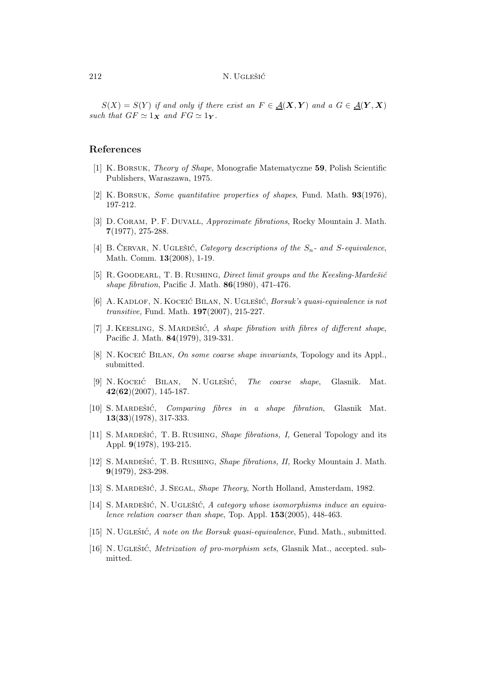$S(X) = S(Y)$  *if and only if there exist an*  $F \in \mathcal{A}(\mathbf{X}, \mathbf{Y})$  *and a*  $G \in \mathcal{A}(\mathbf{Y}, \mathbf{X})$ *such that*  $GF \simeq 1_X$  *and*  $FG \simeq 1_Y$ *.* 

### **References**

- [1] K. Borsuk, *Theory of Shape*, Monografie Matematyczne **59**, Polish Scientific Publishers, Waraszawa, 1975.
- [2] K. Borsuk, *Some quantitative properties of shapes*, Fund. Math. **93**(1976), 197-212.
- [3] D. Coram, P. F. Duvall, *Approximate fibrations*, Rocky Mountain J. Math. **7**(1977), 275-288.
- [4] B. ČERVAR, N. UGLEŠIĆ, *Category descriptions of the*  $S_n$  and *S*-equivalence, Math. Comm. **13**(2008), 1-19.
- [5] R. GOODEARL, T. B. RUSHING, *Direct limit groups and the Keesling-Mardešić shape fibration*, Pacific J. Math. **86**(1980), 471-476.
- [6] A. KADLOF, N. KOCEIĆ BILAN, N. UGLEŠIĆ, *Borsuk's quasi-equivalence is not transitive,* Fund. Math. **197**(2007), 215-227.
- [7] J. KEESLING, S. MARDEŠIĆ, A shape fibration with fibres of different shape, Pacific J. Math. **84**(1979), 319-331.
- [8] N. Koceic Billan, *On some coarse shape invariants*, Topology and its Appl., submitted.
- [9] N. Koceić Bilan, N. Uglešić, *The coarse shape*, Glasnik. Mat. **42**(**62**)(2007), 145-187.
- [10] S. Mardeˇsic´, *Comparing fibres in a shape fibration*, Glasnik Mat. **13**(**33**)(1978), 317-333.
- [11] S. MARDEŠIĆ, T. B. RUSHING, *Shape fibrations, I*, General Topology and its Appl. **9**(1978), 193-215.
- [12] S. MARDEŠIĆ, T. B. RUSHING, *Shape fibrations, II*, Rocky Mountain J. Math. **9**(1979), 283-298.
- [13] S. MARDEŠIĆ, J. SEGAL, *Shape Theory*, North Holland, Amsterdam, 1982.
- [14] S. MARDEŠIĆ, N. UGLEŠIĆ, A category whose isomorphisms induce an equiva*lence relation coarser than shape*, Top. Appl.  $153(2005)$ , 448-463.
- [15] N. UGLEŠIĆ, *A note on the Borsuk quasi-equivalence*, Fund. Math., submitted.
- [16] N. UGLEŠIĆ, *Metrization of pro-morphism sets*, Glasnik Mat., accepted. submitted.